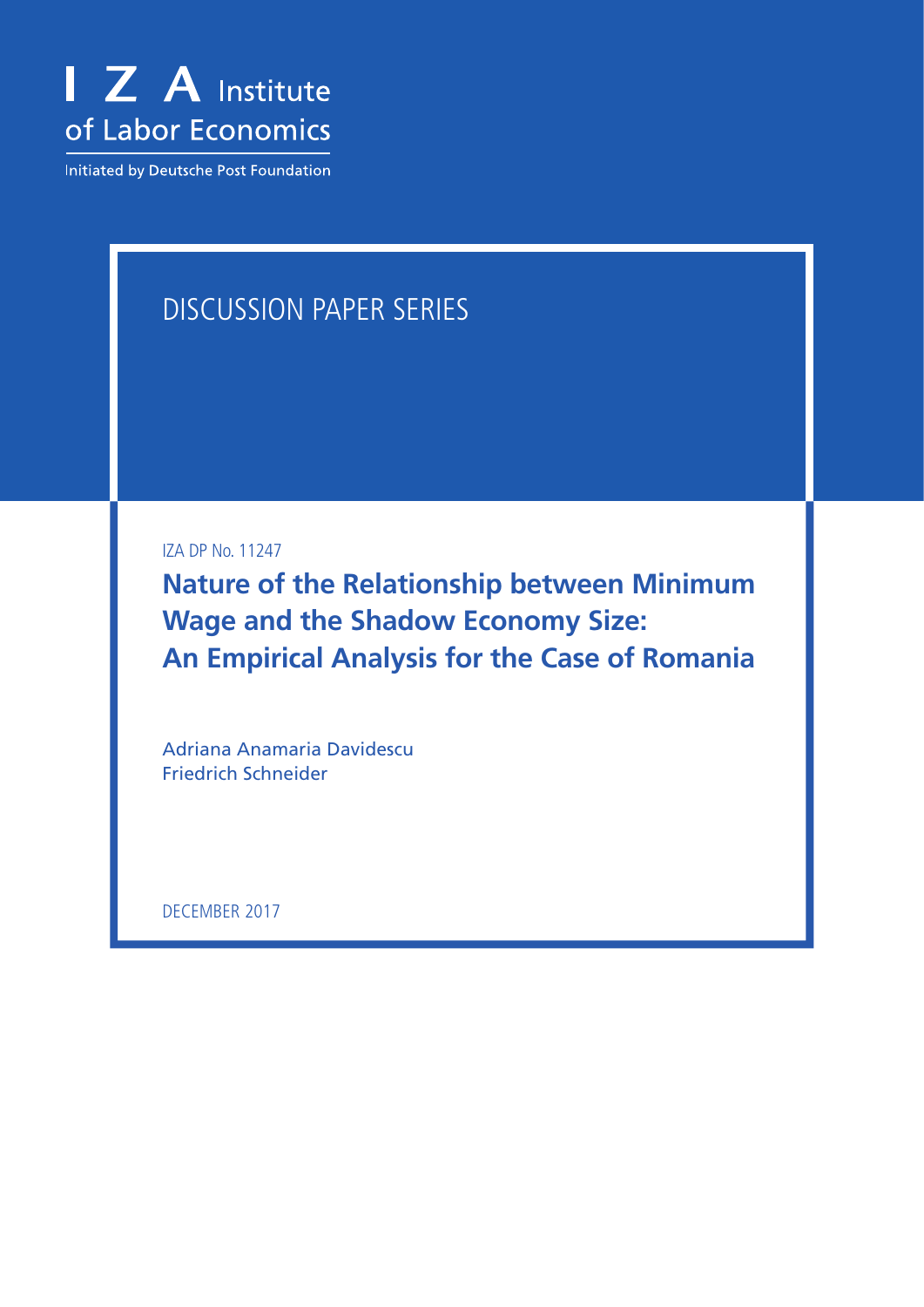

Initiated by Deutsche Post Foundation

# DISCUSSION PAPER SERIES

IZA DP No. 11247

**Nature of the Relationship between Minimum Wage and the Shadow Economy Size: An Empirical Analysis for the Case of Romania**

Adriana Anamaria Davidescu Friedrich Schneider

DECEMBER 2017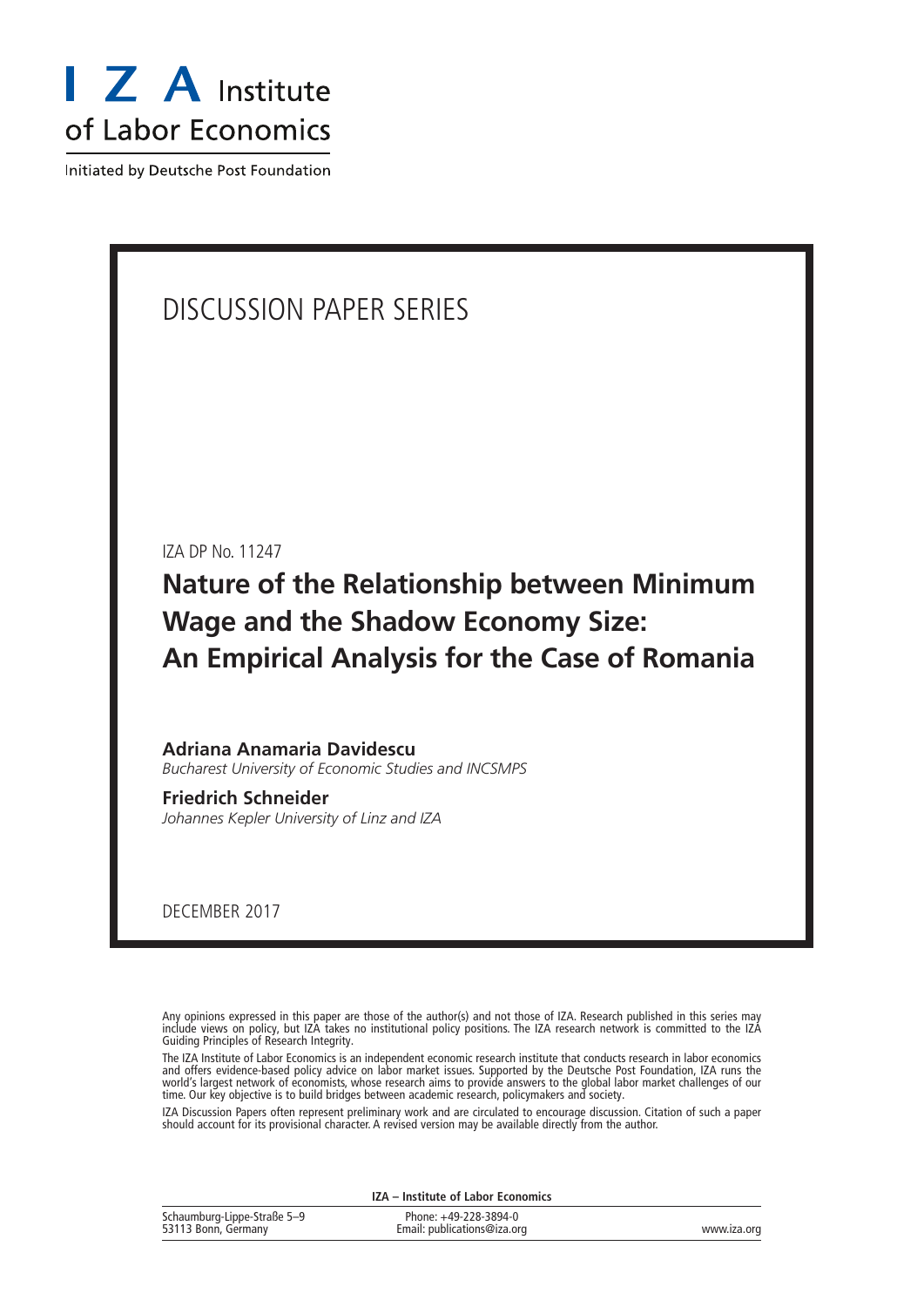

Initiated by Deutsche Post Foundation

# DISCUSSION PAPER SERIES

IZA DP No. 11247

**Nature of the Relationship between Minimum Wage and the Shadow Economy Size: An Empirical Analysis for the Case of Romania**

**Adriana Anamaria Davidescu** *Bucharest University of Economic Studies and INCSMPS*

**Friedrich Schneider** *Johannes Kepler University of Linz and IZA*

DECEMBER 2017

Any opinions expressed in this paper are those of the author(s) and not those of IZA. Research published in this series may include views on policy, but IZA takes no institutional policy positions. The IZA research network is committed to the IZA Guiding Principles of Research Integrity.

The IZA Institute of Labor Economics is an independent economic research institute that conducts research in labor economics and offers evidence-based policy advice on labor market issues. Supported by the Deutsche Post Foundation, IZA runs the world's largest network of economists, whose research aims to provide answers to the global labor market challenges of our time. Our key objective is to build bridges between academic research, policymakers and society.

IZA Discussion Papers often represent preliminary work and are circulated to encourage discussion. Citation of such a paper should account for its provisional character. A revised version may be available directly from the author.

| IZA – Institute of Labor Economics                 |                                                      |             |  |  |  |
|----------------------------------------------------|------------------------------------------------------|-------------|--|--|--|
| Schaumburg-Lippe-Straße 5-9<br>53113 Bonn, Germany | Phone: +49-228-3894-0<br>Email: publications@iza.org | www.iza.org |  |  |  |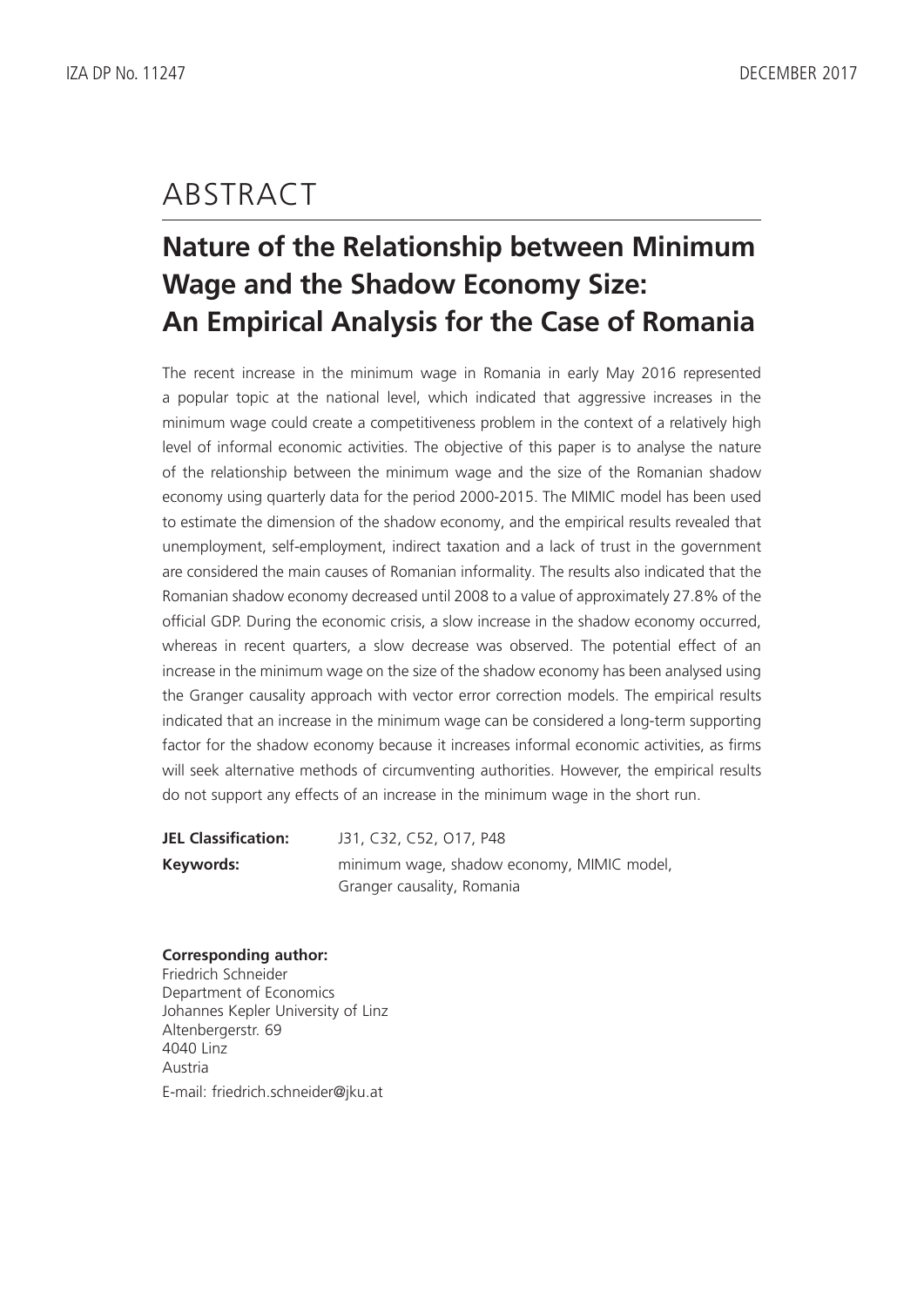# ABSTRACT

# **Nature of the Relationship between Minimum Wage and the Shadow Economy Size: An Empirical Analysis for the Case of Romania**

The recent increase in the minimum wage in Romania in early May 2016 represented a popular topic at the national level, which indicated that aggressive increases in the minimum wage could create a competitiveness problem in the context of a relatively high level of informal economic activities. The objective of this paper is to analyse the nature of the relationship between the minimum wage and the size of the Romanian shadow economy using quarterly data for the period 2000-2015. The MIMIC model has been used to estimate the dimension of the shadow economy, and the empirical results revealed that unemployment, self-employment, indirect taxation and a lack of trust in the government are considered the main causes of Romanian informality. The results also indicated that the Romanian shadow economy decreased until 2008 to a value of approximately 27.8% of the official GDP. During the economic crisis, a slow increase in the shadow economy occurred, whereas in recent quarters, a slow decrease was observed. The potential effect of an increase in the minimum wage on the size of the shadow economy has been analysed using the Granger causality approach with vector error correction models. The empirical results indicated that an increase in the minimum wage can be considered a long-term supporting factor for the shadow economy because it increases informal economic activities, as firms will seek alternative methods of circumventing authorities. However, the empirical results do not support any effects of an increase in the minimum wage in the short run.

**JEL Classification:** J31, C32, C52, O17, P48 **Keywords:** minimum wage, shadow economy, MIMIC model, Granger causality, Romania

# **Corresponding author:**

Friedrich Schneider Department of Economics Johannes Kepler University of Linz Altenbergerstr. 69 4040 Linz Austria E-mail: friedrich.schneider@jku.at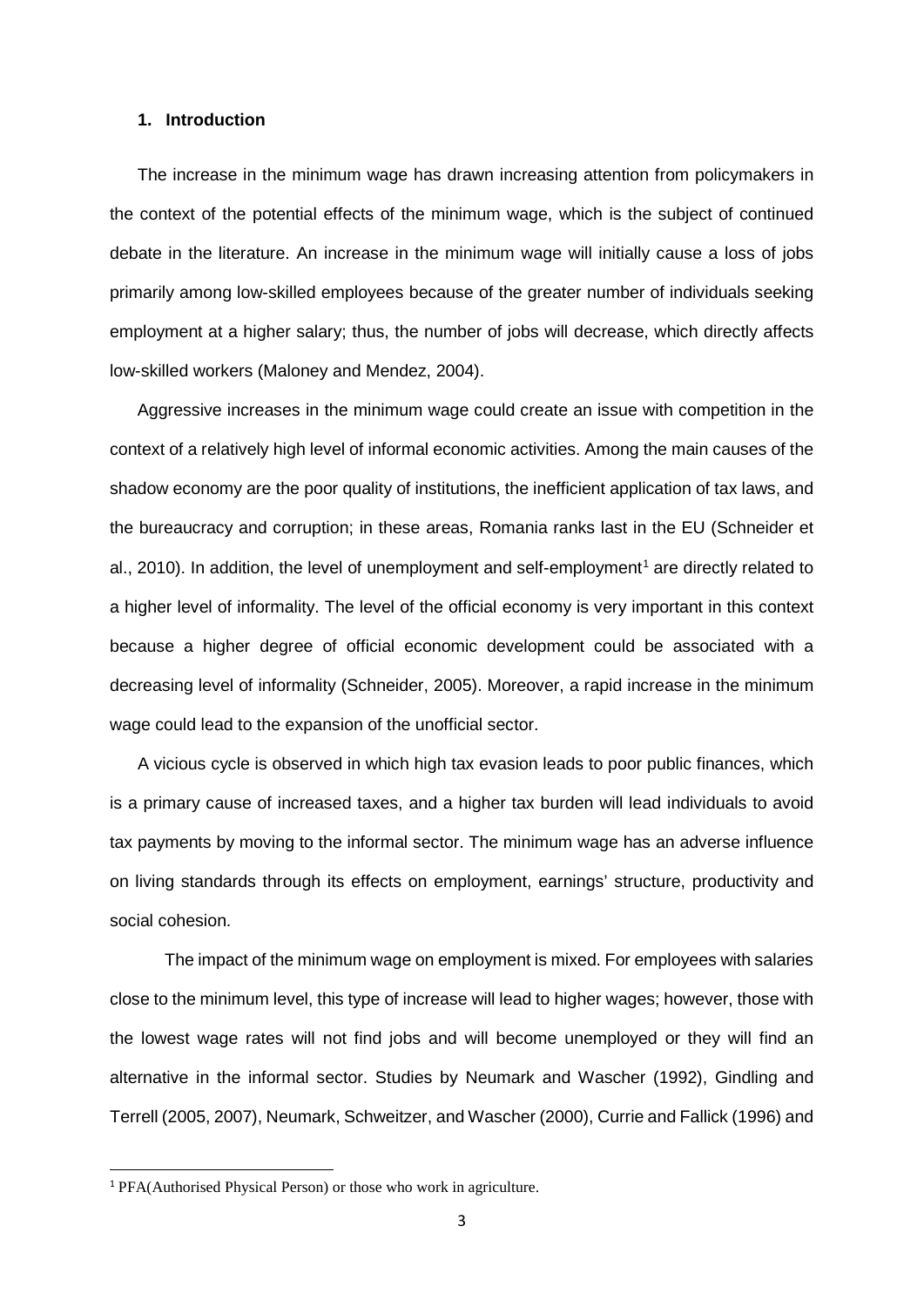### **1. Introduction**

The increase in the minimum wage has drawn increasing attention from policymakers in the context of the potential effects of the minimum wage, which is the subject of continued debate in the literature. An increase in the minimum wage will initially cause a loss of jobs primarily among low-skilled employees because of the greater number of individuals seeking employment at a higher salary; thus, the number of jobs will decrease, which directly affects low-skilled workers (Maloney and Mendez, 2004).

Aggressive increases in the minimum wage could create an issue with competition in the context of a relatively high level of informal economic activities. Among the main causes of the shadow economy are the poor quality of institutions, the inefficient application of tax laws, and the bureaucracy and corruption; in these areas, Romania ranks last in the EU (Schneider et al., 20[1](#page-3-0)0). In addition, the level of unemployment and self-employment<sup>1</sup> are directly related to a higher level of informality. The level of the official economy is very important in this context because a higher degree of official economic development could be associated with a decreasing level of informality (Schneider, 2005). Moreover, a rapid increase in the minimum wage could lead to the expansion of the unofficial sector.

A vicious cycle is observed in which high tax evasion leads to poor public finances, which is a primary cause of increased taxes, and a higher tax burden will lead individuals to avoid tax payments by moving to the informal sector. The minimum wage has an adverse influence on living standards through its effects on employment, earnings' structure, productivity and social cohesion.

The impact of the minimum wage on employment is mixed. For employees with salaries close to the minimum level, this type of increase will lead to higher wages; however, those with the lowest wage rates will not find jobs and will become unemployed or they will find an alternative in the informal sector. Studies by Neumark and Wascher (1992), Gindling and Terrell (2005, 2007), Neumark, Schweitzer, and Wascher (2000), Currie and Fallick (1996) and

<span id="page-3-0"></span> <sup>1</sup> PFA(Authorised Physical Person) or those who work in agriculture.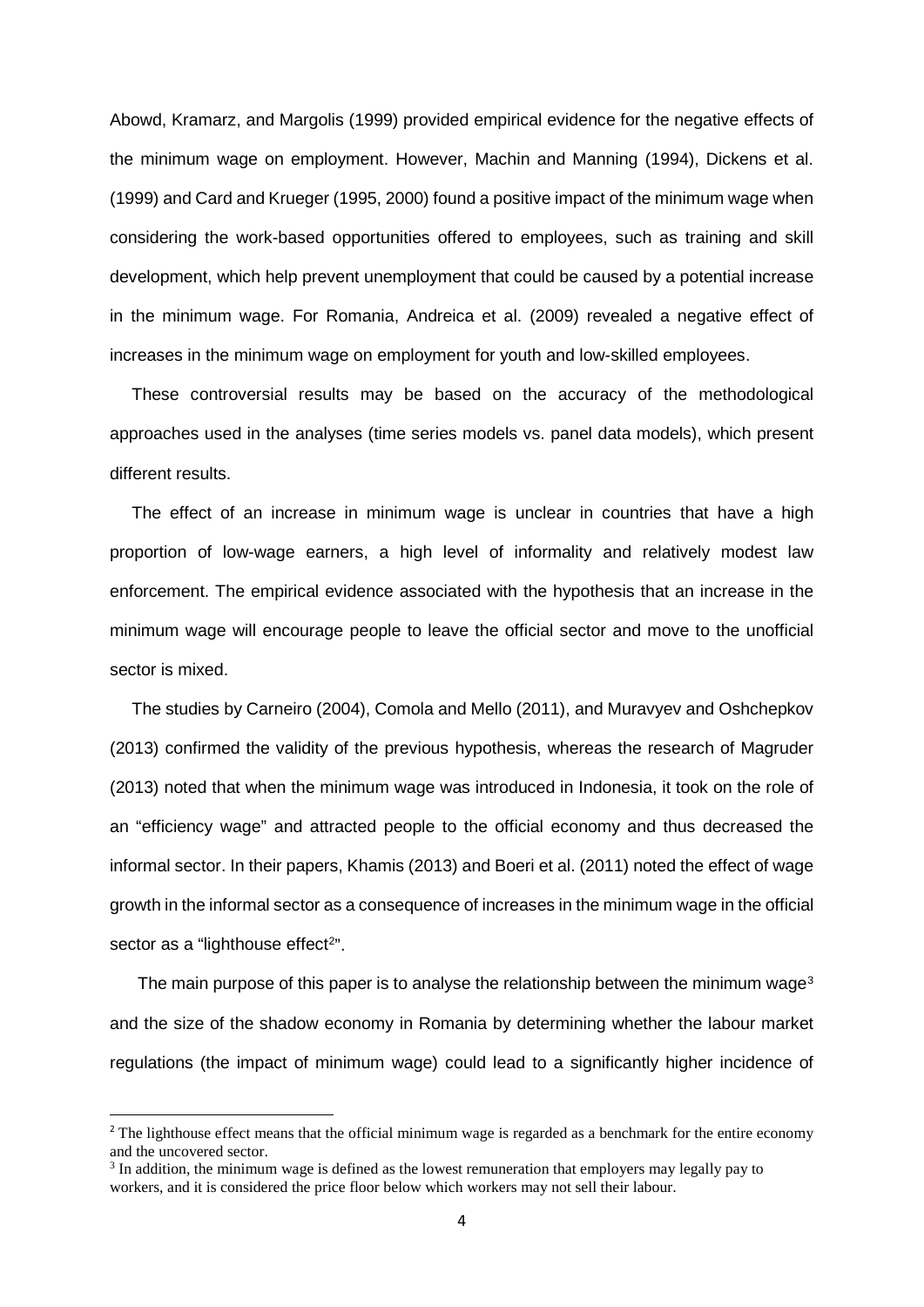Abowd, Kramarz, and Margolis (1999) provided empirical evidence for the negative effects of the minimum wage on employment. However, Machin and Manning (1994), Dickens et al. (1999) and Card and Krueger (1995, 2000) found a positive impact of the minimum wage when considering the work-based opportunities offered to employees, such as training and skill development, which help prevent unemployment that could be caused by a potential increase in the minimum wage. For Romania, Andreica et al. (2009) revealed a negative effect of increases in the minimum wage on employment for youth and low-skilled employees.

These controversial results may be based on the accuracy of the methodological approaches used in the analyses (time series models vs. panel data models), which present different results.

The effect of an increase in minimum wage is unclear in countries that have a high proportion of low-wage earners, a high level of informality and relatively modest law enforcement. The empirical evidence associated with the hypothesis that an increase in the minimum wage will encourage people to leave the official sector and move to the unofficial sector is mixed.

The studies by Carneiro (2004), Comola and Mello (2011), and Muravyev and Oshchepkov (2013) confirmed the validity of the previous hypothesis, whereas the research of Magruder (2013) noted that when the minimum wage was introduced in Indonesia, it took on the role of an "efficiency wage" and attracted people to the official economy and thus decreased the informal sector. In their papers, Khamis (2013) and Boeri et al. (2011) noted the effect of wage growth in the informal sector as a consequence of increases in the minimum wage in the official sector as a "lighthouse effect<sup>2</sup>".

The main purpose of this paper is to analyse the relationship between the minimum wage<sup>[3](#page-4-1)</sup> and the size of the shadow economy in Romania by determining whether the labour market regulations (the impact of minimum wage) could lead to a significantly higher incidence of

<span id="page-4-0"></span><sup>&</sup>lt;sup>2</sup> The lighthouse effect means that the official minimum wage is regarded as a benchmark for the entire economy and the uncovered sector.

<span id="page-4-1"></span> $3$  In addition, the minimum wage is defined as the lowest remuneration that employers may legally pay to workers, and it is considered the price floor below which workers may not sell their labour.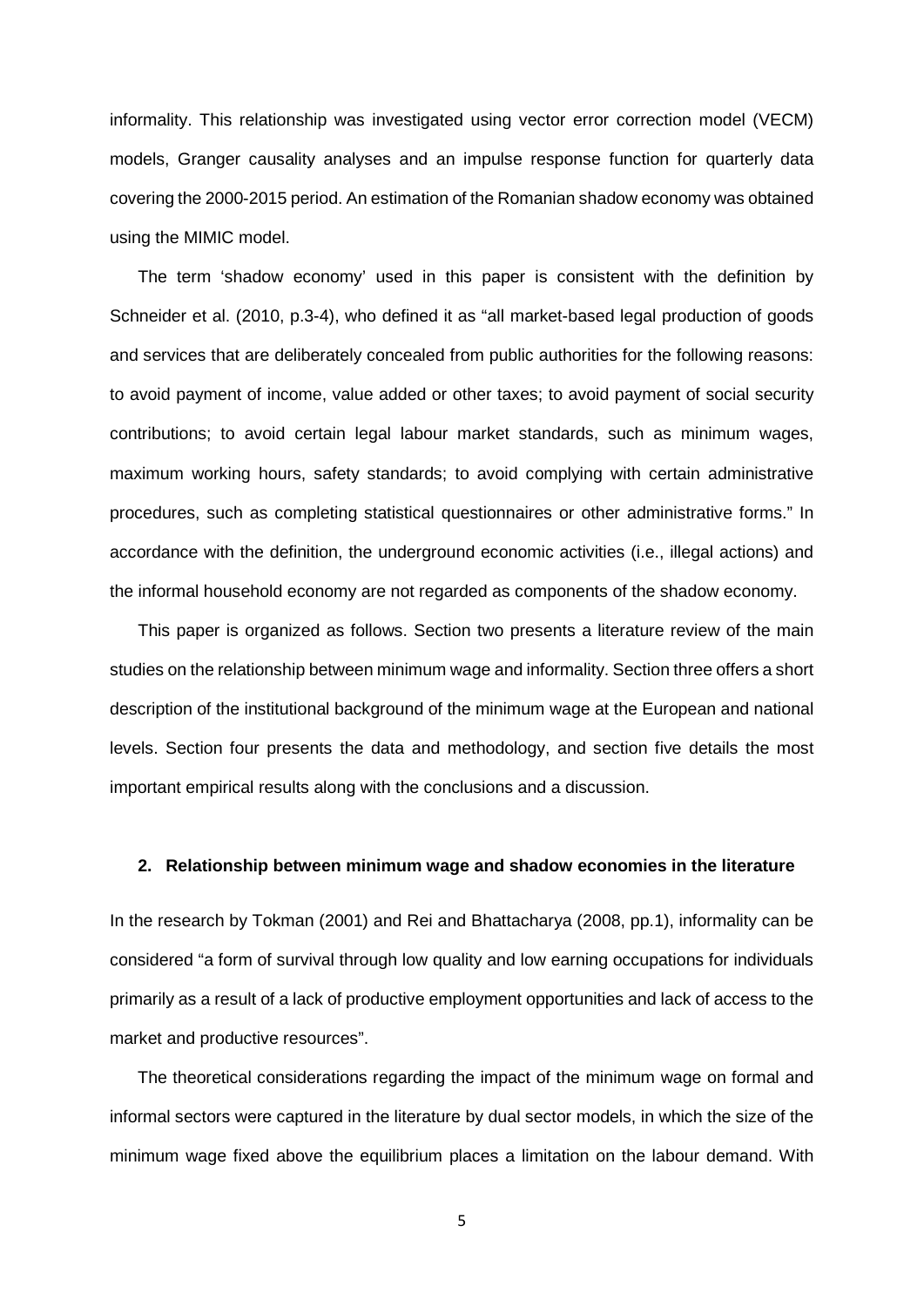informality. This relationship was investigated using vector error correction model (VECM) models, Granger causality analyses and an impulse response function for quarterly data covering the 2000-2015 period. An estimation of the Romanian shadow economy was obtained using the MIMIC model.

The term 'shadow economy' used in this paper is consistent with the definition by Schneider et al. (2010, p.3-4), who defined it as "all market-based legal production of goods and services that are deliberately concealed from public authorities for the following reasons: to avoid payment of income, value added or other taxes; to avoid payment of social security contributions; to avoid certain legal labour market standards, such as minimum wages, maximum working hours, safety standards; to avoid complying with certain administrative procedures, such as completing statistical questionnaires or other administrative forms." In accordance with the definition, the underground economic activities (i.e., illegal actions) and the informal household economy are not regarded as components of the shadow economy.

This paper is organized as follows. Section two presents a literature review of the main studies on the relationship between minimum wage and informality. Section three offers a short description of the institutional background of the minimum wage at the European and national levels. Section four presents the data and methodology, and section five details the most important empirical results along with the conclusions and a discussion.

#### **2. Relationship between minimum wage and shadow economies in the literature**

In the research by Tokman (2001) and Rei and Bhattacharya (2008, pp.1), informality can be considered "a form of survival through low quality and low earning occupations for individuals primarily as a result of a lack of productive employment opportunities and lack of access to the market and productive resources".

The theoretical considerations regarding the impact of the minimum wage on formal and informal sectors were captured in the literature by dual sector models, in which the size of the minimum wage fixed above the equilibrium places a limitation on the labour demand. With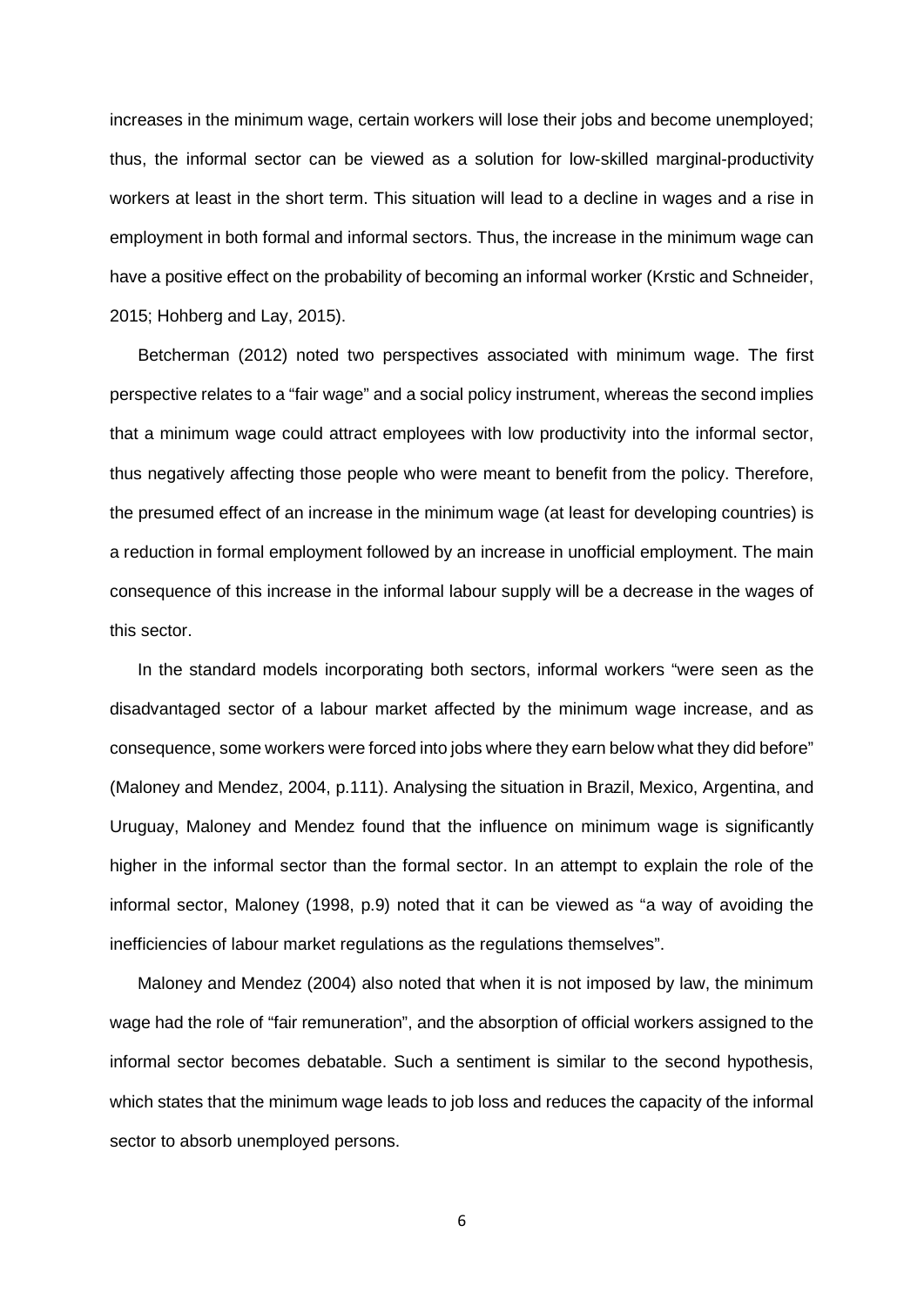increases in the minimum wage, certain workers will lose their jobs and become unemployed; thus, the informal sector can be viewed as a solution for low-skilled marginal-productivity workers at least in the short term. This situation will lead to a decline in wages and a rise in employment in both formal and informal sectors. Thus, the increase in the minimum wage can have a positive effect on the probability of becoming an informal worker (Krstic and Schneider, 2015; Hohberg and Lay, 2015).

Betcherman (2012) noted two perspectives associated with minimum wage. The first perspective relates to a "fair wage" and a social policy instrument, whereas the second implies that a minimum wage could attract employees with low productivity into the informal sector, thus negatively affecting those people who were meant to benefit from the policy. Therefore, the presumed effect of an increase in the minimum wage (at least for developing countries) is a reduction in formal employment followed by an increase in unofficial employment. The main consequence of this increase in the informal labour supply will be a decrease in the wages of this sector.

In the standard models incorporating both sectors, informal workers "were seen as the disadvantaged sector of a labour market affected by the minimum wage increase, and as consequence, some workers were forced into jobs where they earn below what they did before" (Maloney and Mendez, 2004, p.111). Analysing the situation in Brazil, Mexico, Argentina, and Uruguay, Maloney and Mendez found that the influence on minimum wage is significantly higher in the informal sector than the formal sector. In an attempt to explain the role of the informal sector, Maloney (1998, p.9) noted that it can be viewed as "a way of avoiding the inefficiencies of labour market regulations as the regulations themselves".

Maloney and Mendez (2004) also noted that when it is not imposed by law, the minimum wage had the role of "fair remuneration", and the absorption of official workers assigned to the informal sector becomes debatable. Such a sentiment is similar to the second hypothesis, which states that the minimum wage leads to job loss and reduces the capacity of the informal sector to absorb unemployed persons.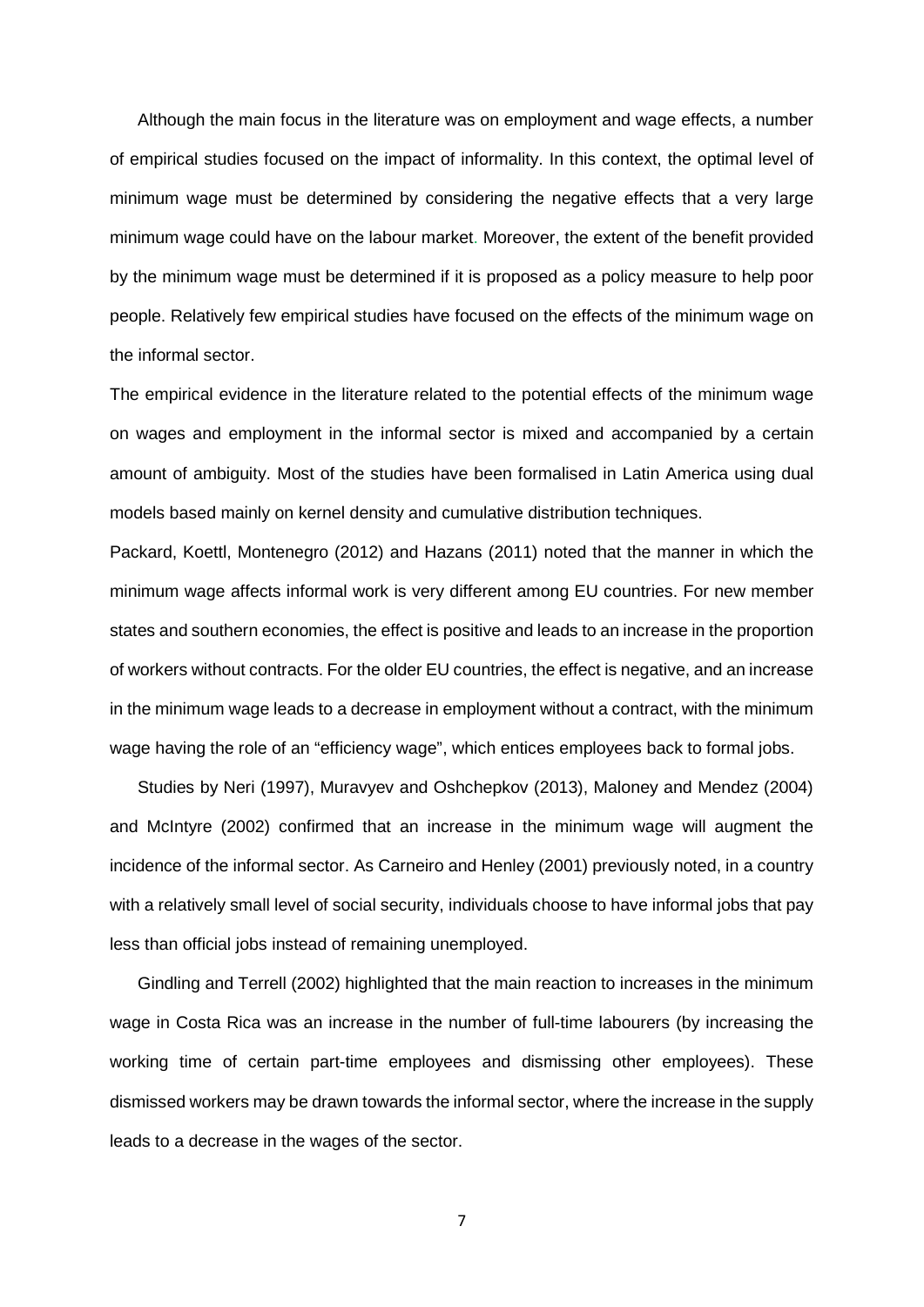Although the main focus in the literature was on employment and wage effects, a number of empirical studies focused on the impact of informality. In this context, the optimal level of minimum wage must be determined by considering the negative effects that a very large minimum wage could have on the labour market. Moreover, the extent of the benefit provided by the minimum wage must be determined if it is proposed as a policy measure to help poor people. Relatively few empirical studies have focused on the effects of the minimum wage on the informal sector.

The empirical evidence in the literature related to the potential effects of the minimum wage on wages and employment in the informal sector is mixed and accompanied by a certain amount of ambiguity. Most of the studies have been formalised in Latin America using dual models based mainly on kernel density and cumulative distribution techniques.

Packard, Koettl, Montenegro (2012) and Hazans (2011) noted that the manner in which the minimum wage affects informal work is very different among EU countries. For new member states and southern economies, the effect is positive and leads to an increase in the proportion of workers without contracts. For the older EU countries, the effect is negative, and an increase in the minimum wage leads to a decrease in employment without a contract, with the minimum wage having the role of an "efficiency wage", which entices employees back to formal jobs.

Studies by Neri (1997), Muravyev and Oshchepkov (2013), Maloney and Mendez (2004) and McIntyre (2002) confirmed that an increase in the minimum wage will augment the incidence of the informal sector. As Carneiro and Henley (2001) previously noted, in a country with a relatively small level of social security, individuals choose to have informal jobs that pay less than official jobs instead of remaining unemployed.

Gindling and Terrell (2002) highlighted that the main reaction to increases in the minimum wage in Costa Rica was an increase in the number of full-time labourers (by increasing the working time of certain part-time employees and dismissing other employees). These dismissed workers may be drawn towards the informal sector, where the increase in the supply leads to a decrease in the wages of the sector.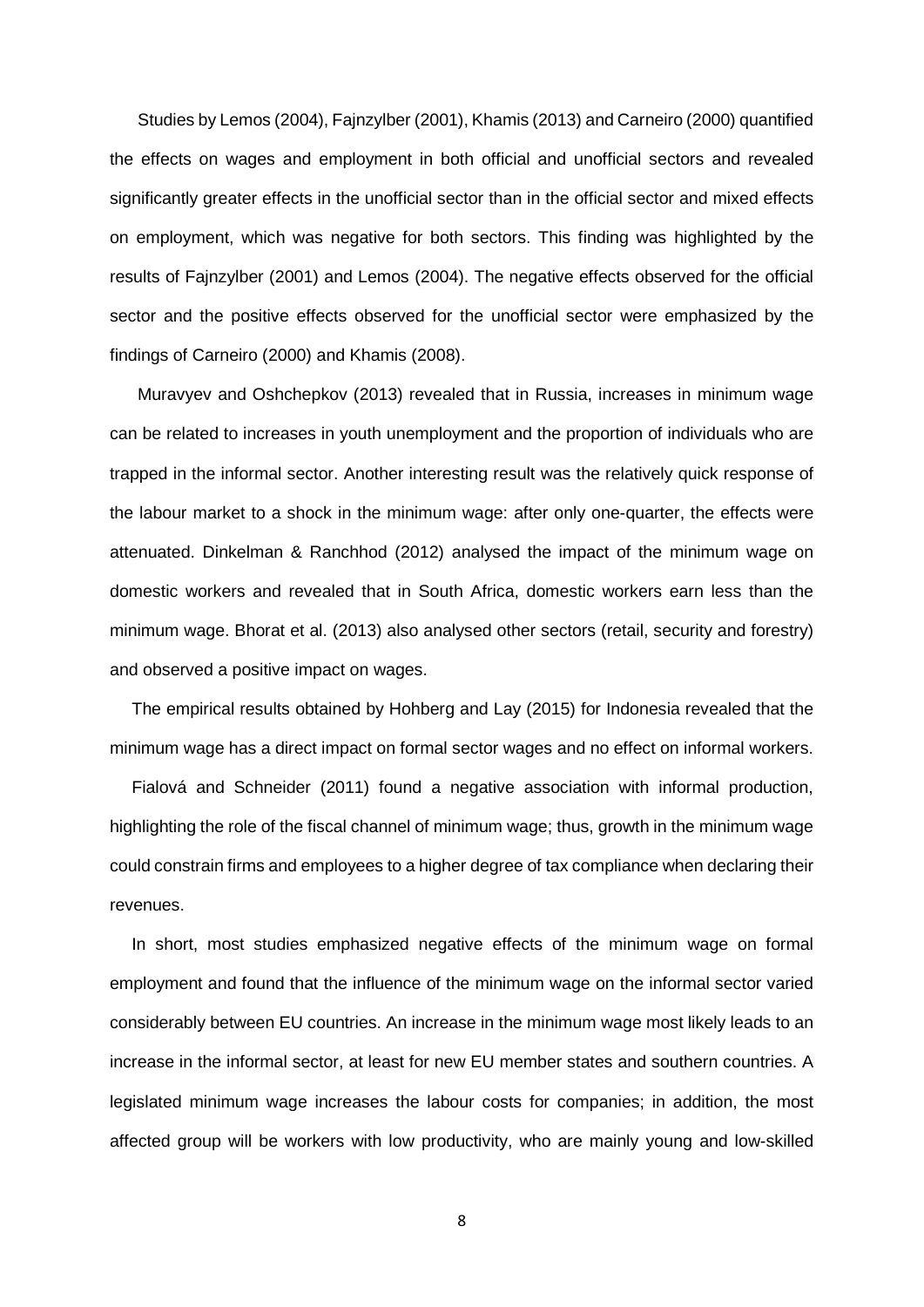Studies by Lemos (2004), Fajnzylber (2001), Khamis (2013) and Carneiro (2000) quantified the effects on wages and employment in both official and unofficial sectors and revealed significantly greater effects in the unofficial sector than in the official sector and mixed effects on employment, which was negative for both sectors. This finding was highlighted by the results of Fajnzylber (2001) and Lemos (2004). The negative effects observed for the official sector and the positive effects observed for the unofficial sector were emphasized by the findings of Carneiro (2000) and Khamis (2008).

Muravyev and Oshchepkov (2013) revealed that in Russia, increases in minimum wage can be related to increases in youth unemployment and the proportion of individuals who are trapped in the informal sector. Another interesting result was the relatively quick response of the labour market to a shock in the minimum wage: after only one-quarter, the effects were attenuated. Dinkelman & Ranchhod (2012) analysed the impact of the minimum wage on domestic workers and revealed that in South Africa, domestic workers earn less than the minimum wage. Bhorat et al. (2013) also analysed other sectors (retail, security and forestry) and observed a positive impact on wages.

The empirical results obtained by Hohberg and Lay (2015) for Indonesia revealed that the minimum wage has a direct impact on formal sector wages and no effect on informal workers.

Fialová and Schneider (2011) found a negative association with informal production, highlighting the role of the fiscal channel of minimum wage; thus, growth in the minimum wage could constrain firms and employees to a higher degree of tax compliance when declaring their revenues.

In short, most studies emphasized negative effects of the minimum wage on formal employment and found that the influence of the minimum wage on the informal sector varied considerably between EU countries. An increase in the minimum wage most likely leads to an increase in the informal sector, at least for new EU member states and southern countries. A legislated minimum wage increases the labour costs for companies; in addition, the most affected group will be workers with low productivity, who are mainly young and low-skilled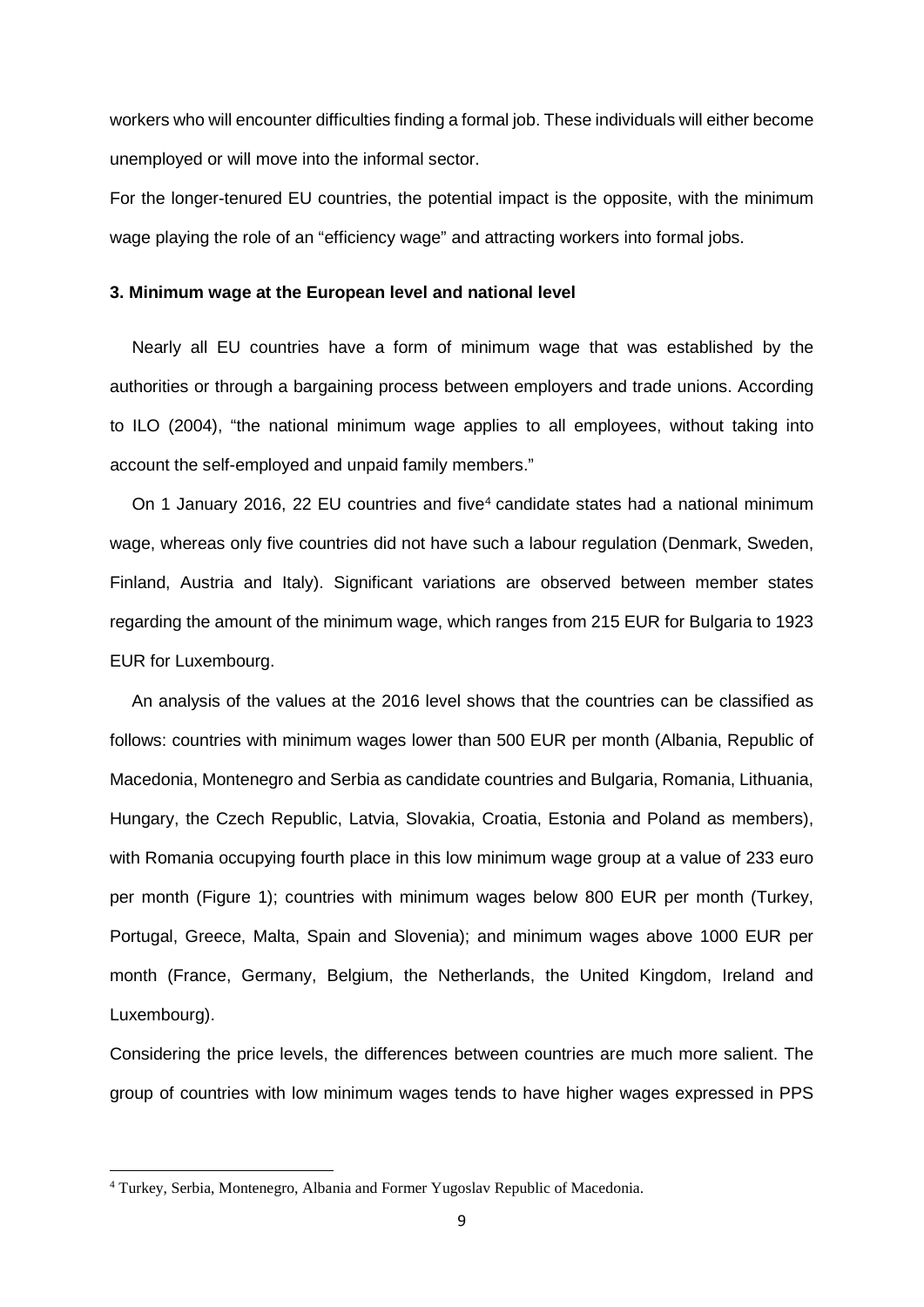workers who will encounter difficulties finding a formal job. These individuals will either become unemployed or will move into the informal sector.

For the longer-tenured EU countries, the potential impact is the opposite, with the minimum wage playing the role of an "efficiency wage" and attracting workers into formal jobs.

#### **3. Minimum wage at the European level and national level**

Nearly all EU countries have a form of minimum wage that was established by the authorities or through a bargaining process between employers and trade unions. According to ILO (2004), "the national minimum wage applies to all employees, without taking into account the self-employed and unpaid family members."

On 1 January 2016, 22 EU countries and five<sup>[4](#page-9-0)</sup> candidate states had a national minimum wage, whereas only five countries did not have such a labour regulation (Denmark, Sweden, Finland, Austria and Italy). Significant variations are observed between member states regarding the amount of the minimum wage, which ranges from 215 EUR for Bulgaria to 1923 EUR for Luxembourg.

An analysis of the values at the 2016 level shows that the countries can be classified as follows: countries with minimum wages lower than 500 EUR per month (Albania, Republic of Macedonia, Montenegro and Serbia as candidate countries and Bulgaria, Romania, Lithuania, Hungary, the Czech Republic, Latvia, Slovakia, Croatia, Estonia and Poland as members), with Romania occupying fourth place in this low minimum wage group at a value of 233 euro per month (Figure 1); countries with minimum wages below 800 EUR per month (Turkey, Portugal, Greece, Malta, Spain and Slovenia); and minimum wages above 1000 EUR per month (France, Germany, Belgium, the Netherlands, the United Kingdom, Ireland and Luxembourg).

Considering the price levels, the differences between countries are much more salient. The group of countries with low minimum wages tends to have higher wages expressed in PPS

l

<span id="page-9-0"></span><sup>4</sup> Turkey, Serbia, Montenegro, Albania and Former Yugoslav Republic of Macedonia.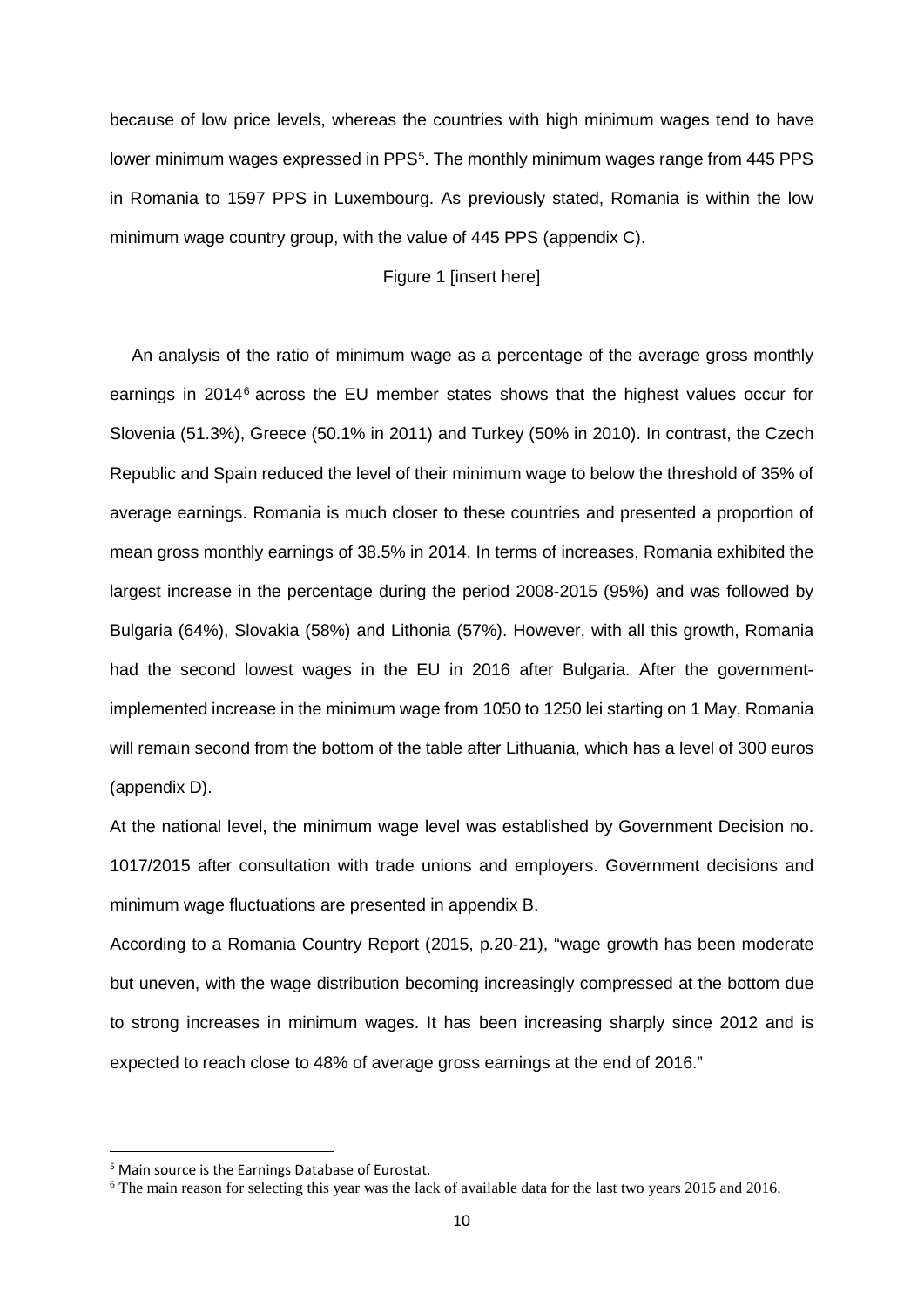because of low price levels, whereas the countries with high minimum wages tend to have lower minimum wages expressed in PPS<sup>5</sup>. The monthly minimum wages range from 445 PPS in Romania to 1597 PPS in Luxembourg. As previously stated, Romania is within the low minimum wage country group, with the value of 445 PPS (appendix C).

## Figure 1 [insert here]

An analysis of the ratio of minimum wage as a percentage of the average gross monthly earnings in 2014<sup>[6](#page-10-1)</sup> across the EU member states shows that the highest values occur for Slovenia (51.3%), Greece (50.1% in 2011) and Turkey (50% in 2010). In contrast, the Czech Republic and Spain reduced the level of their minimum wage to below the threshold of 35% of average earnings. Romania is much closer to these countries and presented a proportion of mean gross monthly earnings of 38.5% in 2014. In terms of increases, Romania exhibited the largest increase in the percentage during the period 2008-2015 (95%) and was followed by Bulgaria (64%), Slovakia (58%) and Lithonia (57%). However, with all this growth, Romania had the second lowest wages in the EU in 2016 after Bulgaria. After the governmentimplemented increase in the minimum wage from 1050 to 1250 lei starting on 1 May, Romania will remain second from the bottom of the table after Lithuania, which has a level of 300 euros (appendix D).

At the national level, the minimum wage level was established by Government Decision no. 1017/2015 after consultation with trade unions and employers. Government decisions and minimum wage fluctuations are presented in appendix B.

According to a Romania Country Report (2015, p.20-21), "wage growth has been moderate but uneven, with the wage distribution becoming increasingly compressed at the bottom due to strong increases in minimum wages. It has been increasing sharply since 2012 and is expected to reach close to 48% of average gross earnings at the end of 2016."

<span id="page-10-0"></span><sup>&</sup>lt;sup>5</sup> Main source is the Earnings Database of Eurostat.

<span id="page-10-1"></span><sup>&</sup>lt;sup>6</sup> The main reason for selecting this year was the lack of available data for the last two years 2015 and 2016.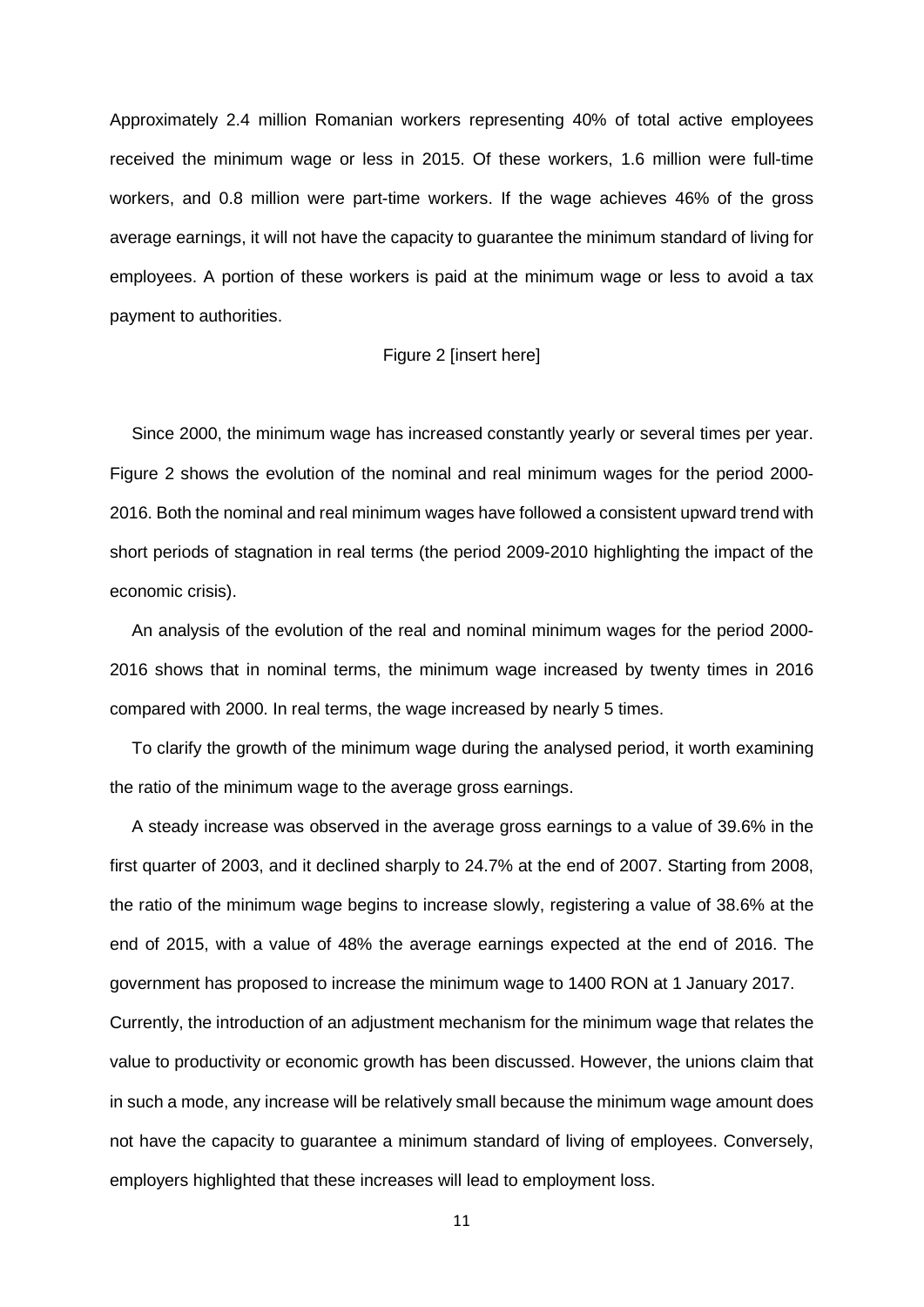Approximately 2.4 million Romanian workers representing 40% of total active employees received the minimum wage or less in 2015. Of these workers, 1.6 million were full-time workers, and 0.8 million were part-time workers. If the wage achieves 46% of the gross average earnings, it will not have the capacity to guarantee the minimum standard of living for employees. A portion of these workers is paid at the minimum wage or less to avoid a tax payment to authorities.

# Figure 2 [insert here]

Since 2000, the minimum wage has increased constantly yearly or several times per year. Figure 2 shows the evolution of the nominal and real minimum wages for the period 2000- 2016. Both the nominal and real minimum wages have followed a consistent upward trend with short periods of stagnation in real terms (the period 2009-2010 highlighting the impact of the economic crisis).

An analysis of the evolution of the real and nominal minimum wages for the period 2000- 2016 shows that in nominal terms, the minimum wage increased by twenty times in 2016 compared with 2000. In real terms, the wage increased by nearly 5 times.

To clarify the growth of the minimum wage during the analysed period, it worth examining the ratio of the minimum wage to the average gross earnings.

A steady increase was observed in the average gross earnings to a value of 39.6% in the first quarter of 2003, and it declined sharply to 24.7% at the end of 2007. Starting from 2008, the ratio of the minimum wage begins to increase slowly, registering a value of 38.6% at the end of 2015, with a value of 48% the average earnings expected at the end of 2016. The government has proposed to increase the minimum wage to 1400 RON at 1 January 2017. Currently, the introduction of an adjustment mechanism for the minimum wage that relates the value to productivity or economic growth has been discussed. However, the unions claim that in such a mode, any increase will be relatively small because the minimum wage amount does not have the capacity to guarantee a minimum standard of living of employees. Conversely, employers highlighted that these increases will lead to employment loss.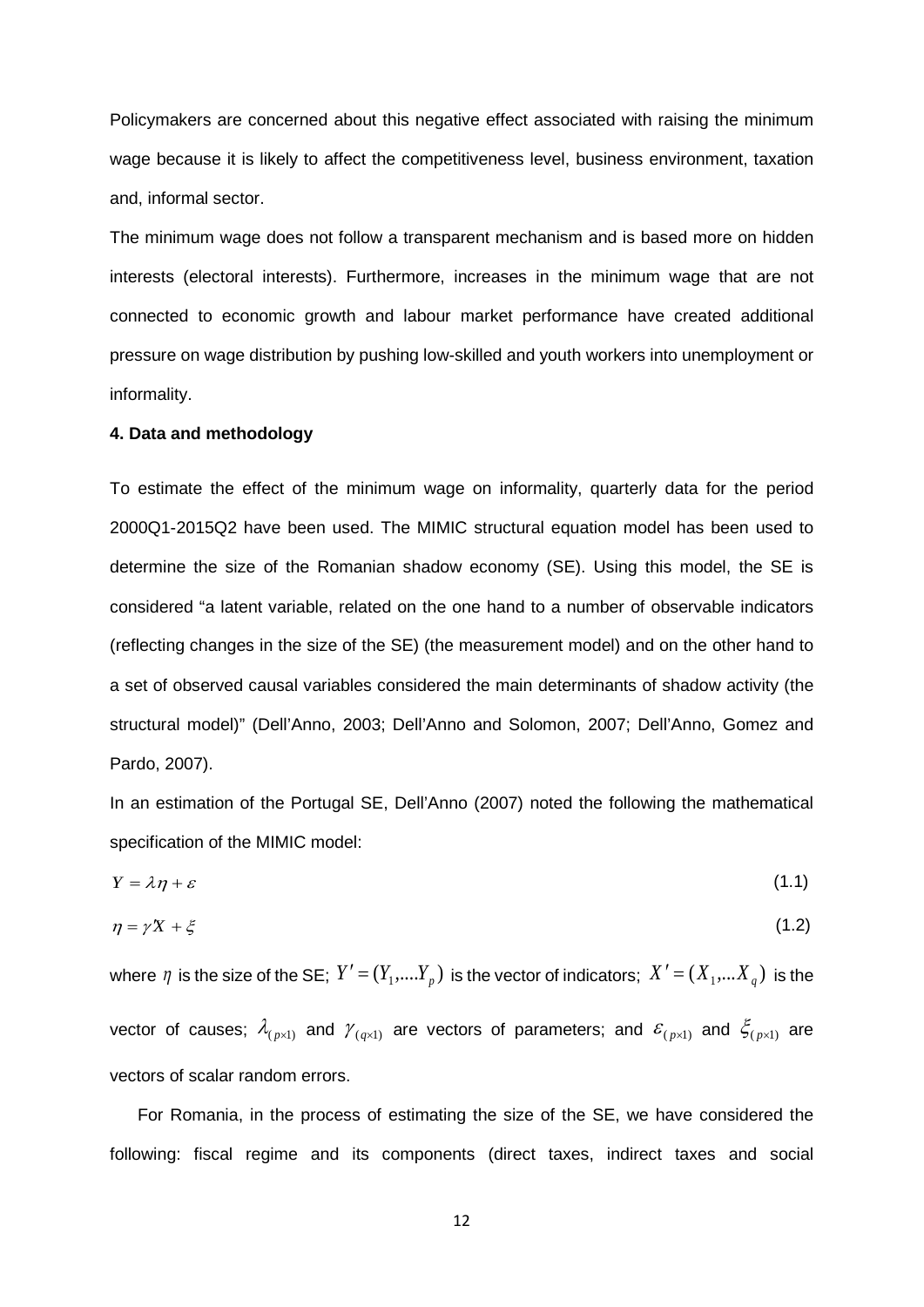Policymakers are concerned about this negative effect associated with raising the minimum wage because it is likely to affect the competitiveness level, business environment, taxation and, informal sector.

The minimum wage does not follow a transparent mechanism and is based more on hidden interests (electoral interests). Furthermore, increases in the minimum wage that are not connected to economic growth and labour market performance have created additional pressure on wage distribution by pushing low-skilled and youth workers into unemployment or informality.

# **4. Data and methodology**

To estimate the effect of the minimum wage on informality, quarterly data for the period 2000Q1-2015Q2 have been used. The MIMIC structural equation model has been used to determine the size of the Romanian shadow economy (SE). Using this model, the SE is considered "a latent variable, related on the one hand to a number of observable indicators (reflecting changes in the size of the SE) (the measurement model) and on the other hand to a set of observed causal variables considered the main determinants of shadow activity (the structural model)" (Dell'Anno, 2003; Dell'Anno and Solomon, 2007; Dell'Anno, Gomez and Pardo, 2007).

In an estimation of the Portugal SE, Dell'Anno (2007) noted the following the mathematical specification of the MIMIC model:

$$
Y = \lambda \eta + \varepsilon \tag{1.1}
$$

$$
\eta = \gamma X + \xi \tag{1.2}
$$

where  $\eta$  is the size of the SE;  $Y' = (Y_1, ..., Y_p)$  is the vector of indicators;  $X' = (X_1, ..., X_q)$  is the vector of causes;  $\lambda_{(px1)}$  and  $\gamma_{(qx1)}$  are vectors of parameters; and  $\varepsilon_{(px1)}$  and  $\xi_{(px1)}$  are vectors of scalar random errors.

For Romania, in the process of estimating the size of the SE, we have considered the following: fiscal regime and its components (direct taxes, indirect taxes and social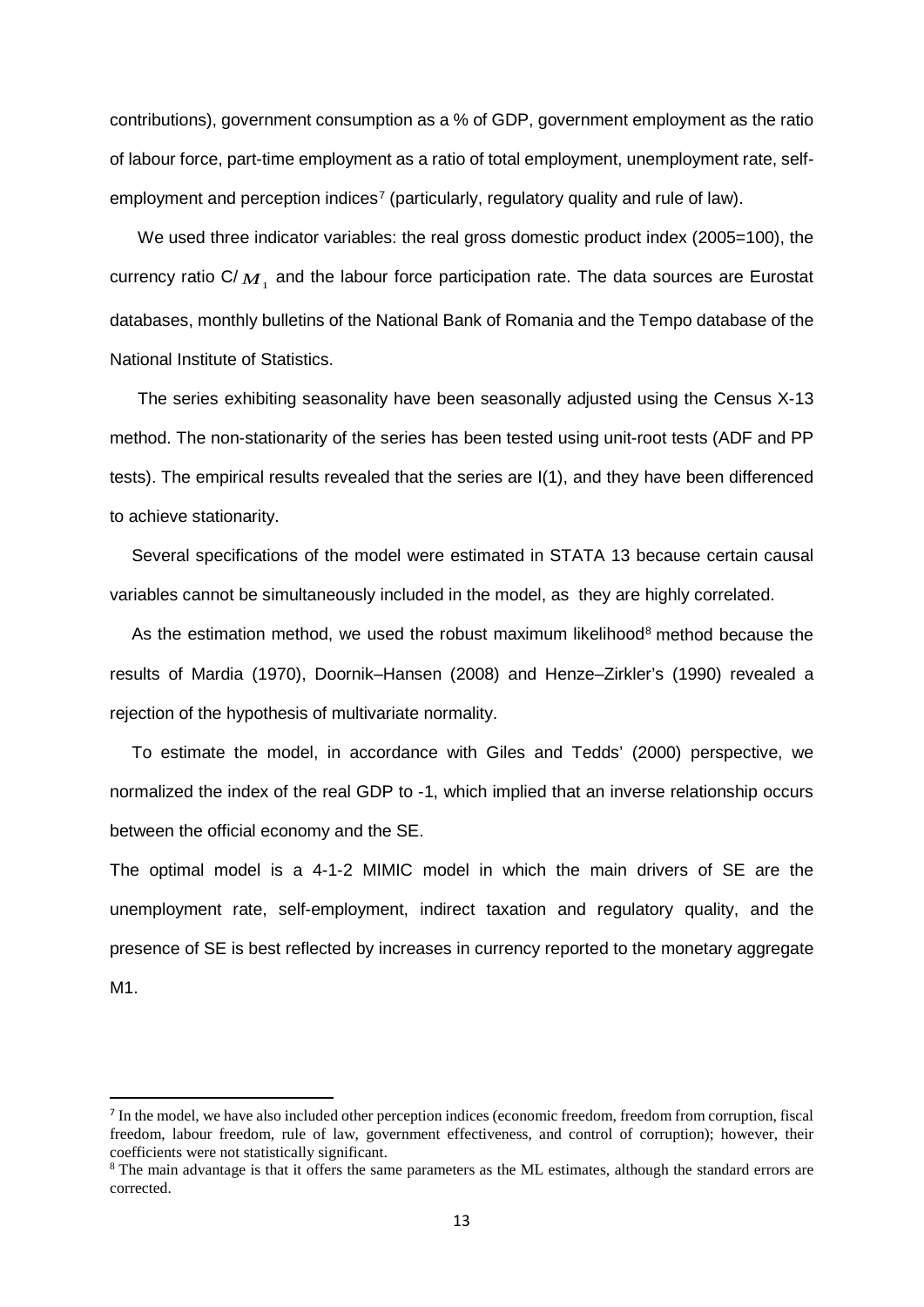contributions), government consumption as a % of GDP, government employment as the ratio of labour force, part-time employment as a ratio of total employment, unemployment rate, self-employment and perception indices<sup>[7](#page-13-0)</sup> (particularly, regulatory quality and rule of law).

We used three indicator variables: the real gross domestic product index (2005=100), the currency ratio  $C/M$ , and the labour force participation rate. The data sources are Eurostat databases, monthly bulletins of the National Bank of Romania and the Tempo database of the National Institute of Statistics.

The series exhibiting seasonality have been seasonally adjusted using the Census X-13 method. The non-stationarity of the series has been tested using unit-root tests (ADF and PP tests). The empirical results revealed that the series are I(1), and they have been differenced to achieve stationarity.

Several specifications of the model were estimated in STATA 13 because certain causal variables cannot be simultaneously included in the model, as they are highly correlated.

As the estimation method, we used the robust maximum likelihood<sup>[8](#page-13-1)</sup> method because the results of Mardia (1970), Doornik–Hansen (2008) and Henze–Zirkler's (1990) revealed a rejection of the hypothesis of multivariate normality.

To estimate the model, in accordance with Giles and Tedds' (2000) perspective, we normalized the index of the real GDP to -1, which implied that an inverse relationship occurs between the official economy and the SE.

The optimal model is a 4-1-2 MIMIC model in which the main drivers of SE are the unemployment rate, self-employment, indirect taxation and regulatory quality, and the presence of SE is best reflected by increases in currency reported to the monetary aggregate M1.

<span id="page-13-0"></span> <sup>7</sup> In the model, we have also included other perception indices (economic freedom, freedom from corruption, fiscal freedom, labour freedom, rule of law, government effectiveness, and control of corruption); however, their coefficients were not statistically significant.

<span id="page-13-1"></span><sup>&</sup>lt;sup>8</sup> The main advantage is that it offers the same parameters as the ML estimates, although the standard errors are corrected.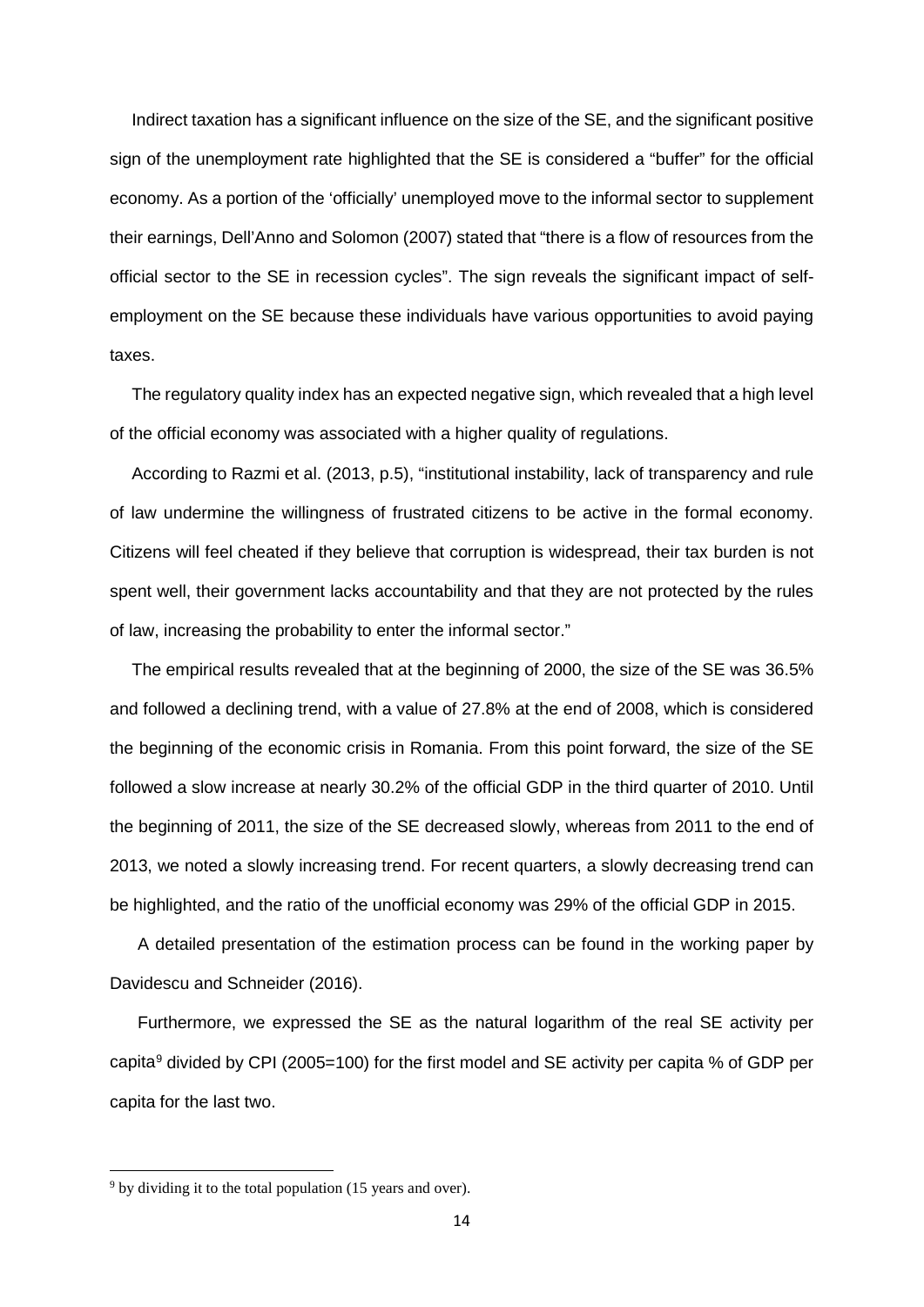Indirect taxation has a significant influence on the size of the SE, and the significant positive sign of the unemployment rate highlighted that the SE is considered a "buffer" for the official economy. As a portion of the 'officially' unemployed move to the informal sector to supplement their earnings, Dell'Anno and Solomon (2007) stated that "there is a flow of resources from the official sector to the SE in recession cycles". The sign reveals the significant impact of selfemployment on the SE because these individuals have various opportunities to avoid paying taxes.

The regulatory quality index has an expected negative sign, which revealed that a high level of the official economy was associated with a higher quality of regulations.

According to Razmi et al. (2013, p.5), "institutional instability, lack of transparency and rule of law undermine the willingness of frustrated citizens to be active in the formal economy. Citizens will feel cheated if they believe that corruption is widespread, their tax burden is not spent well, their government lacks accountability and that they are not protected by the rules of law, increasing the probability to enter the informal sector."

The empirical results revealed that at the beginning of 2000, the size of the SE was 36.5% and followed a declining trend, with a value of 27.8% at the end of 2008, which is considered the beginning of the economic crisis in Romania. From this point forward, the size of the SE followed a slow increase at nearly 30.2% of the official GDP in the third quarter of 2010. Until the beginning of 2011, the size of the SE decreased slowly, whereas from 2011 to the end of 2013, we noted a slowly increasing trend. For recent quarters, a slowly decreasing trend can be highlighted, and the ratio of the unofficial economy was 29% of the official GDP in 2015.

A detailed presentation of the estimation process can be found in the working paper by Davidescu and Schneider (2016).

Furthermore, we expressed the SE as the natural logarithm of the real SE activity per capita<sup>[9](#page-14-0)</sup> divided by CPI (2005=100) for the first model and SE activity per capita % of GDP per capita for the last two.

l

<span id="page-14-0"></span><sup>&</sup>lt;sup>9</sup> by dividing it to the total population (15 years and over).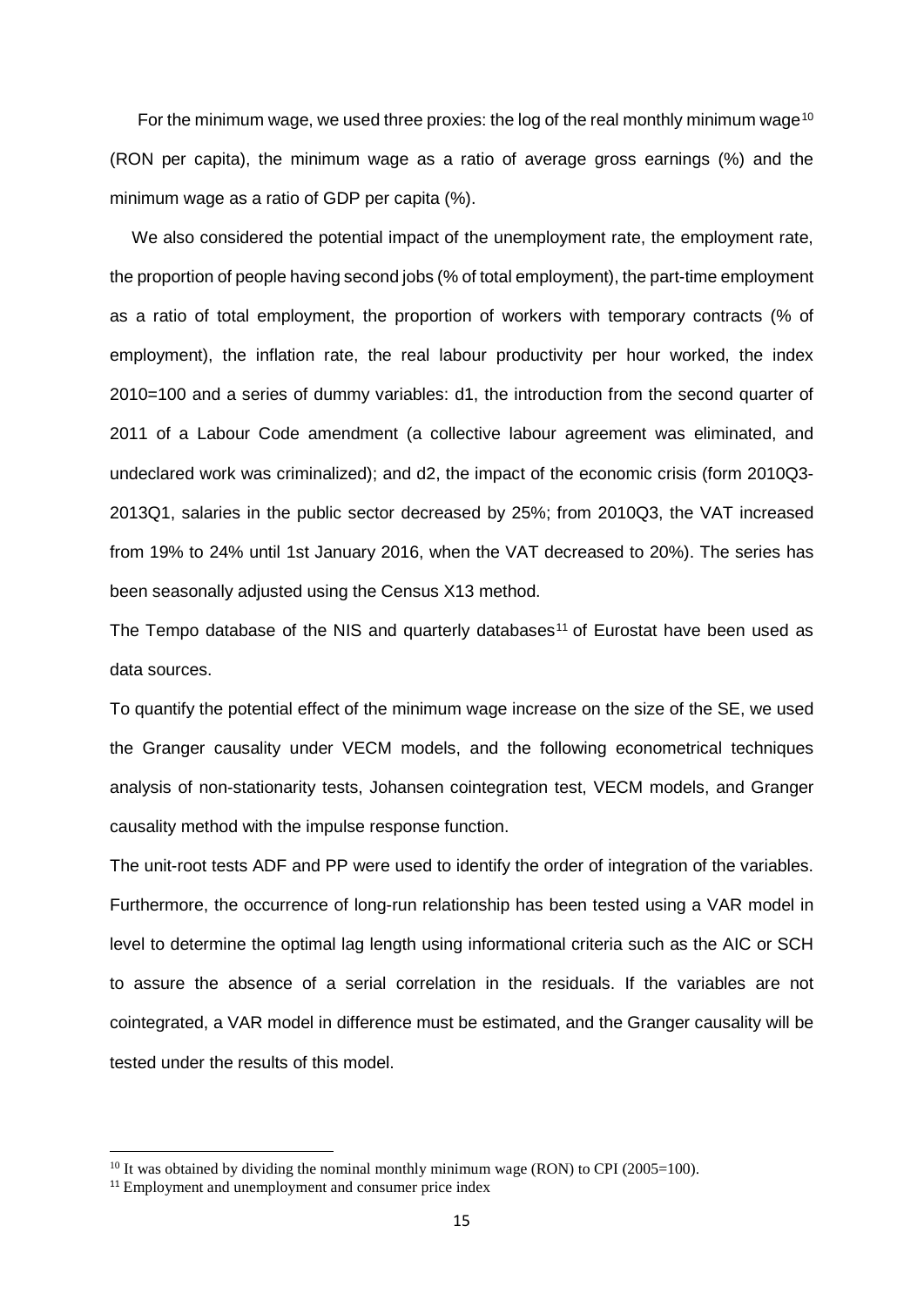For the minimum wage, we used three proxies: the log of the real monthly minimum wage<sup>[10](#page-15-0)</sup> (RON per capita), the minimum wage as a ratio of average gross earnings (%) and the minimum wage as a ratio of GDP per capita (%).

We also considered the potential impact of the unemployment rate, the employment rate, the proportion of people having second jobs (% of total employment), the part-time employment as a ratio of total employment, the proportion of workers with temporary contracts (% of employment), the inflation rate, the real labour productivity per hour worked, the index 2010=100 and a series of dummy variables: d1, the introduction from the second quarter of 2011 of a Labour Code amendment (a collective labour agreement was eliminated, and undeclared work was criminalized); and d2, the impact of the economic crisis (form 2010Q3- 2013Q1, salaries in the public sector decreased by 25%; from 2010Q3, the VAT increased from 19% to 24% until 1st January 2016, when the VAT decreased to 20%). The series has been seasonally adjusted using the Census X13 method.

The Tempo database of the NIS and quarterly databases<sup>[11](#page-15-1)</sup> of Eurostat have been used as data sources.

To quantify the potential effect of the minimum wage increase on the size of the SE, we used the Granger causality under VECM models, and the following econometrical techniques analysis of non-stationarity tests, Johansen cointegration test, VECM models, and Granger causality method with the impulse response function.

The unit-root tests ADF and PP were used to identify the order of integration of the variables. Furthermore, the occurrence of long-run relationship has been tested using a VAR model in level to determine the optimal lag length using informational criteria such as the AIC or SCH to assure the absence of a serial correlation in the residuals. If the variables are not cointegrated, a VAR model in difference must be estimated, and the Granger causality will be tested under the results of this model.

 $\overline{a}$ 

<span id="page-15-0"></span><sup>&</sup>lt;sup>10</sup> It was obtained by dividing the nominal monthly minimum wage (RON) to CPI (2005=100).

<span id="page-15-1"></span><sup>&</sup>lt;sup>11</sup> Employment and unemployment and consumer price index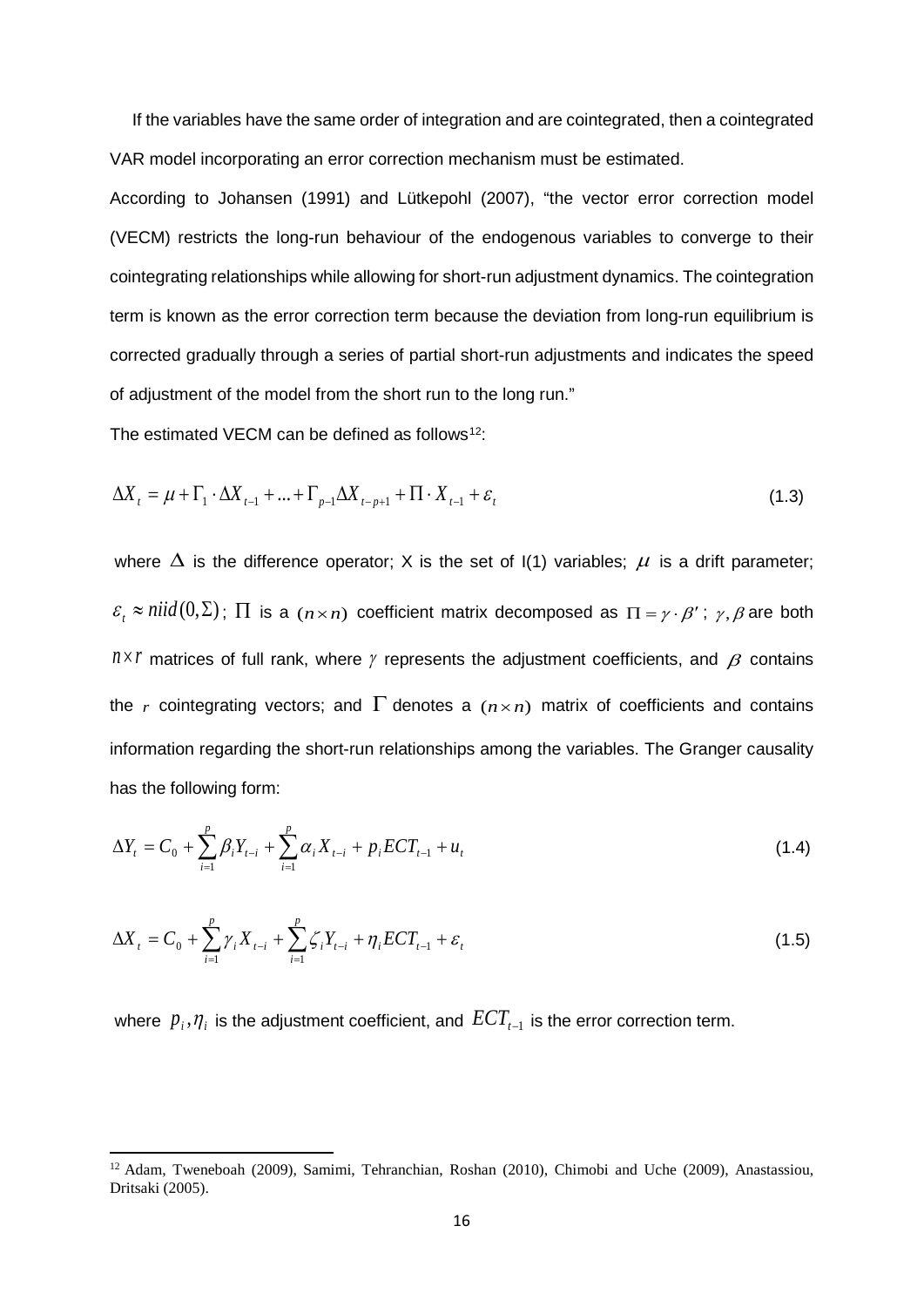If the variables have the same order of integration and are cointegrated, then a cointegrated VAR model incorporating an error correction mechanism must be estimated.

According to Johansen (1991) and Lütkepohl (2007), "the vector error correction model (VECM) restricts the long-run behaviour of the endogenous variables to converge to their cointegrating relationships while allowing for short-run adjustment dynamics. The cointegration term is known as the error correction term because the deviation from long-run equilibrium is corrected gradually through a series of partial short-run adjustments and indicates the speed of adjustment of the model from the short run to the long run."

The estimated VECM can be defined as follows $12$ :

 $\overline{a}$ 

$$
\Delta X_{t} = \mu + \Gamma_{1} \cdot \Delta X_{t-1} + ... + \Gamma_{p-1} \Delta X_{t-p+1} + \Pi \cdot X_{t-1} + \varepsilon_{t}
$$
\n(1.3)

where  $\Delta$  is the difference operator; X is the set of I(1) variables;  $\mu$  is a drift parameter;  $\varepsilon_t \approx \text{niid}(0, \Sigma)$ ;  $\Pi$  is a  $(n \times n)$  coefficient matrix decomposed as  $\Pi = \gamma \cdot \beta'$ ;  $\gamma$ ,  $\beta$  are both  $n \times r$  matrices of full rank, where  $\gamma$  represents the adjustment coefficients, and  $\beta$  contains the *r* cointegrating vectors; and  $\Gamma$  denotes a  $(n \times n)$  matrix of coefficients and contains information regarding the short-run relationships among the variables. The Granger causality has the following form:

$$
\Delta Y_{t} = C_{0} + \sum_{i=1}^{p} \beta_{i} Y_{t-i} + \sum_{i=1}^{p} \alpha_{i} X_{t-i} + p_{i} E C T_{t-1} + u_{t}
$$
\n(1.4)

$$
\Delta X_{t} = C_{0} + \sum_{i=1}^{p} \gamma_{i} X_{t-i} + \sum_{i=1}^{p} \zeta_{i} Y_{t-i} + \eta_{i} ECT_{t-1} + \varepsilon_{t}
$$
\n(1.5)

where  $p_i, \eta_i$  is the adjustment coefficient, and  $ECT_{t-1}$  is the error correction term.

<span id="page-16-0"></span><sup>&</sup>lt;sup>12</sup> Adam, Tweneboah (2009), Samimi, Tehranchian, Roshan (2010), Chimobi and Uche (2009), Anastassiou, Dritsaki (2005).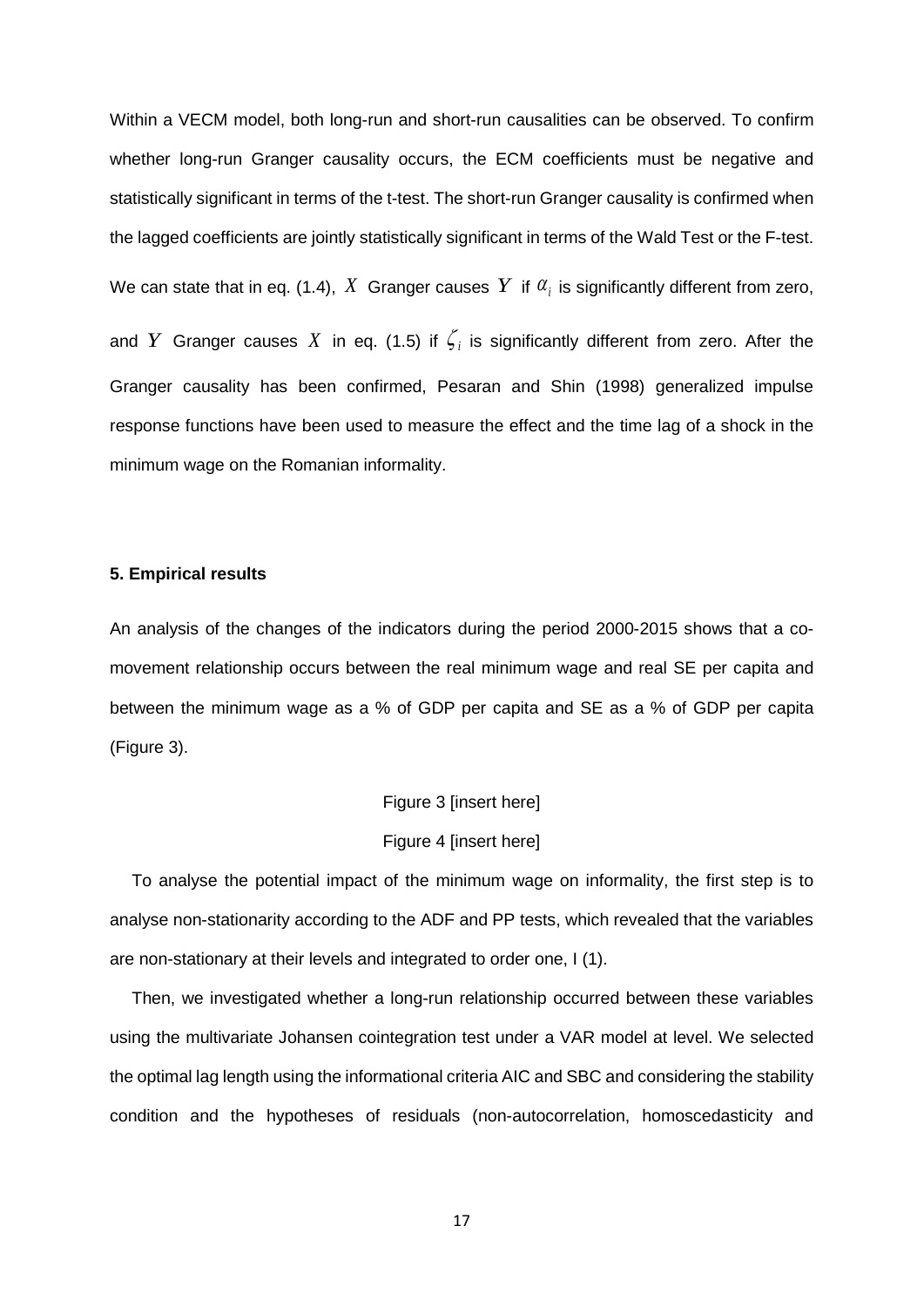Within a VECM model, both long-run and short-run causalities can be observed. To confirm whether long-run Granger causality occurs, the ECM coefficients must be negative and statistically significant in terms of the t-test. The short-run Granger causality is confirmed when the lagged coefficients are jointly statistically significant in terms of the Wald Test or the F-test. We can state that in eq. (1.4), X Granger causes Y if  $\alpha_i$  is significantly different from zero, and *Y* Granger causes *X* in eq. (1.5) if  $\zeta_i$  is significantly different from zero. After the Granger causality has been confirmed, Pesaran and Shin (1998) generalized impulse response functions have been used to measure the effect and the time lag of a shock in the minimum wage on the Romanian informality.

# **5. Empirical results**

An analysis of the changes of the indicators during the period 2000-2015 shows that a comovement relationship occurs between the real minimum wage and real SE per capita and between the minimum wage as a % of GDP per capita and SE as a % of GDP per capita (Figure 3).

# Figure 3 [insert here]

### Figure 4 [insert here]

To analyse the potential impact of the minimum wage on informality, the first step is to analyse non-stationarity according to the ADF and PP tests, which revealed that the variables are non-stationary at their levels and integrated to order one, I (1).

Then, we investigated whether a long-run relationship occurred between these variables using the multivariate Johansen cointegration test under a VAR model at level. We selected the optimal lag length using the informational criteria AIC and SBC and considering the stability condition and the hypotheses of residuals (non-autocorrelation, homoscedasticity and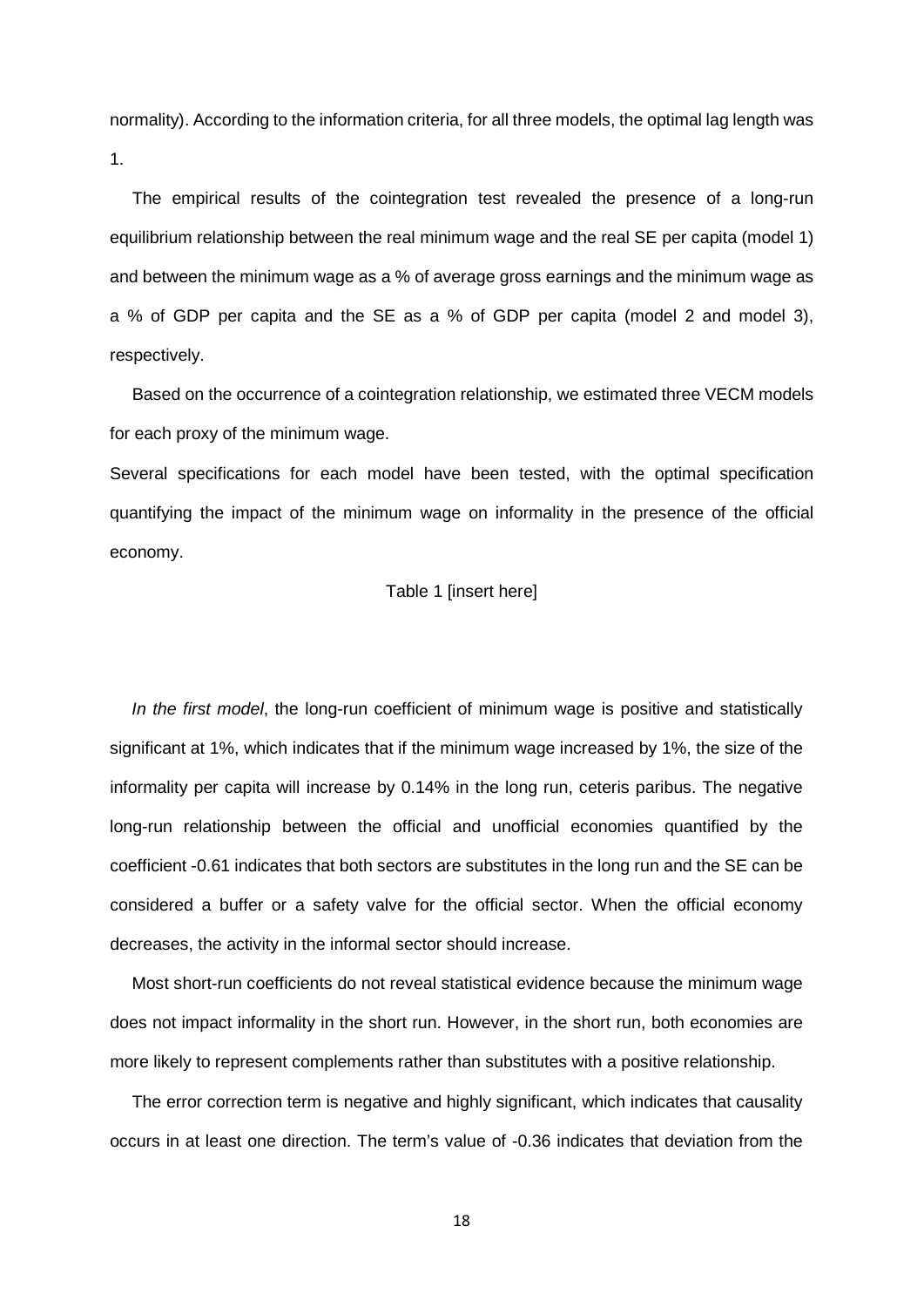normality). According to the information criteria, for all three models, the optimal lag length was 1.

The empirical results of the cointegration test revealed the presence of a long-run equilibrium relationship between the real minimum wage and the real SE per capita (model 1) and between the minimum wage as a % of average gross earnings and the minimum wage as a % of GDP per capita and the SE as a % of GDP per capita (model 2 and model 3), respectively.

Based on the occurrence of a cointegration relationship, we estimated three VECM models for each proxy of the minimum wage.

Several specifications for each model have been tested, with the optimal specification quantifying the impact of the minimum wage on informality in the presence of the official economy.

## Table 1 [insert here]

*In the first model*, the long-run coefficient of minimum wage is positive and statistically significant at 1%, which indicates that if the minimum wage increased by 1%, the size of the informality per capita will increase by 0.14% in the long run, ceteris paribus. The negative long-run relationship between the official and unofficial economies quantified by the coefficient -0.61 indicates that both sectors are substitutes in the long run and the SE can be considered a buffer or a safety valve for the official sector. When the official economy decreases, the activity in the informal sector should increase.

Most short-run coefficients do not reveal statistical evidence because the minimum wage does not impact informality in the short run. However, in the short run, both economies are more likely to represent complements rather than substitutes with a positive relationship.

The error correction term is negative and highly significant, which indicates that causality occurs in at least one direction. The term's value of -0.36 indicates that deviation from the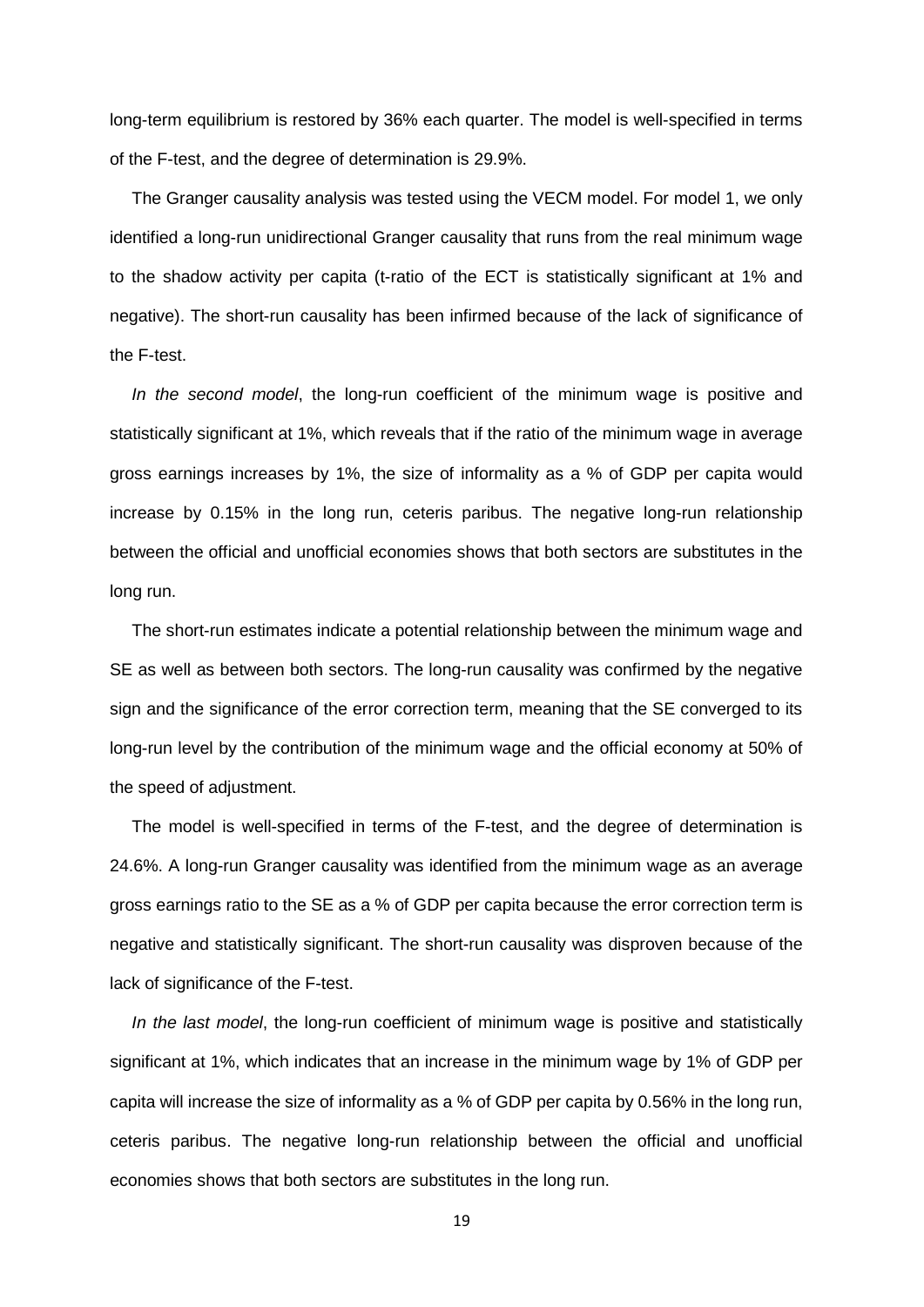long-term equilibrium is restored by 36% each quarter. The model is well-specified in terms of the F-test, and the degree of determination is 29.9%.

The Granger causality analysis was tested using the VECM model. For model 1, we only identified a long-run unidirectional Granger causality that runs from the real minimum wage to the shadow activity per capita (t-ratio of the ECT is statistically significant at 1% and negative). The short-run causality has been infirmed because of the lack of significance of the F-test.

*In the second model*, the long-run coefficient of the minimum wage is positive and statistically significant at 1%, which reveals that if the ratio of the minimum wage in average gross earnings increases by 1%, the size of informality as a % of GDP per capita would increase by 0.15% in the long run, ceteris paribus. The negative long-run relationship between the official and unofficial economies shows that both sectors are substitutes in the long run.

The short-run estimates indicate a potential relationship between the minimum wage and SE as well as between both sectors. The long-run causality was confirmed by the negative sign and the significance of the error correction term, meaning that the SE converged to its long-run level by the contribution of the minimum wage and the official economy at 50% of the speed of adjustment.

The model is well-specified in terms of the F-test, and the degree of determination is 24.6%. A long-run Granger causality was identified from the minimum wage as an average gross earnings ratio to the SE as a % of GDP per capita because the error correction term is negative and statistically significant. The short-run causality was disproven because of the lack of significance of the F-test.

*In the last model*, the long-run coefficient of minimum wage is positive and statistically significant at 1%, which indicates that an increase in the minimum wage by 1% of GDP per capita will increase the size of informality as a % of GDP per capita by 0.56% in the long run, ceteris paribus. The negative long-run relationship between the official and unofficial economies shows that both sectors are substitutes in the long run.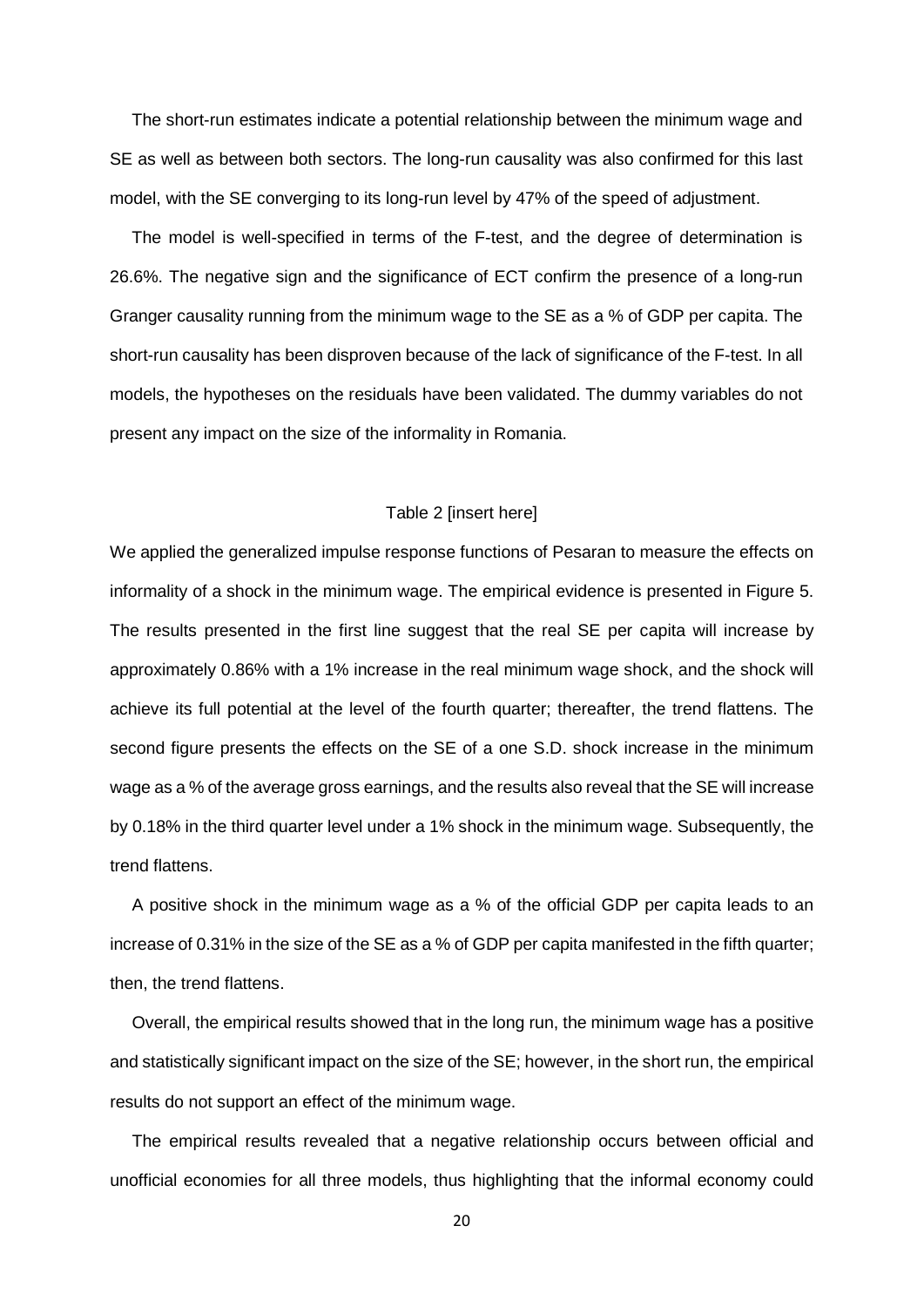The short-run estimates indicate a potential relationship between the minimum wage and SE as well as between both sectors. The long-run causality was also confirmed for this last model, with the SE converging to its long-run level by 47% of the speed of adjustment.

The model is well-specified in terms of the F-test, and the degree of determination is 26.6%. The negative sign and the significance of ECT confirm the presence of a long-run Granger causality running from the minimum wage to the SE as a % of GDP per capita. The short-run causality has been disproven because of the lack of significance of the F-test. In all models, the hypotheses on the residuals have been validated. The dummy variables do not present any impact on the size of the informality in Romania.

# Table 2 [insert here]

We applied the generalized impulse response functions of Pesaran to measure the effects on informality of a shock in the minimum wage. The empirical evidence is presented in Figure 5. The results presented in the first line suggest that the real SE per capita will increase by approximately 0.86% with a 1% increase in the real minimum wage shock, and the shock will achieve its full potential at the level of the fourth quarter; thereafter, the trend flattens. The second figure presents the effects on the SE of a one S.D. shock increase in the minimum wage as a % of the average gross earnings, and the results also reveal that the SE will increase by 0.18% in the third quarter level under a 1% shock in the minimum wage. Subsequently, the trend flattens.

A positive shock in the minimum wage as a % of the official GDP per capita leads to an increase of 0.31% in the size of the SE as a % of GDP per capita manifested in the fifth quarter; then, the trend flattens.

Overall, the empirical results showed that in the long run, the minimum wage has a positive and statistically significant impact on the size of the SE; however, in the short run, the empirical results do not support an effect of the minimum wage.

The empirical results revealed that a negative relationship occurs between official and unofficial economies for all three models, thus highlighting that the informal economy could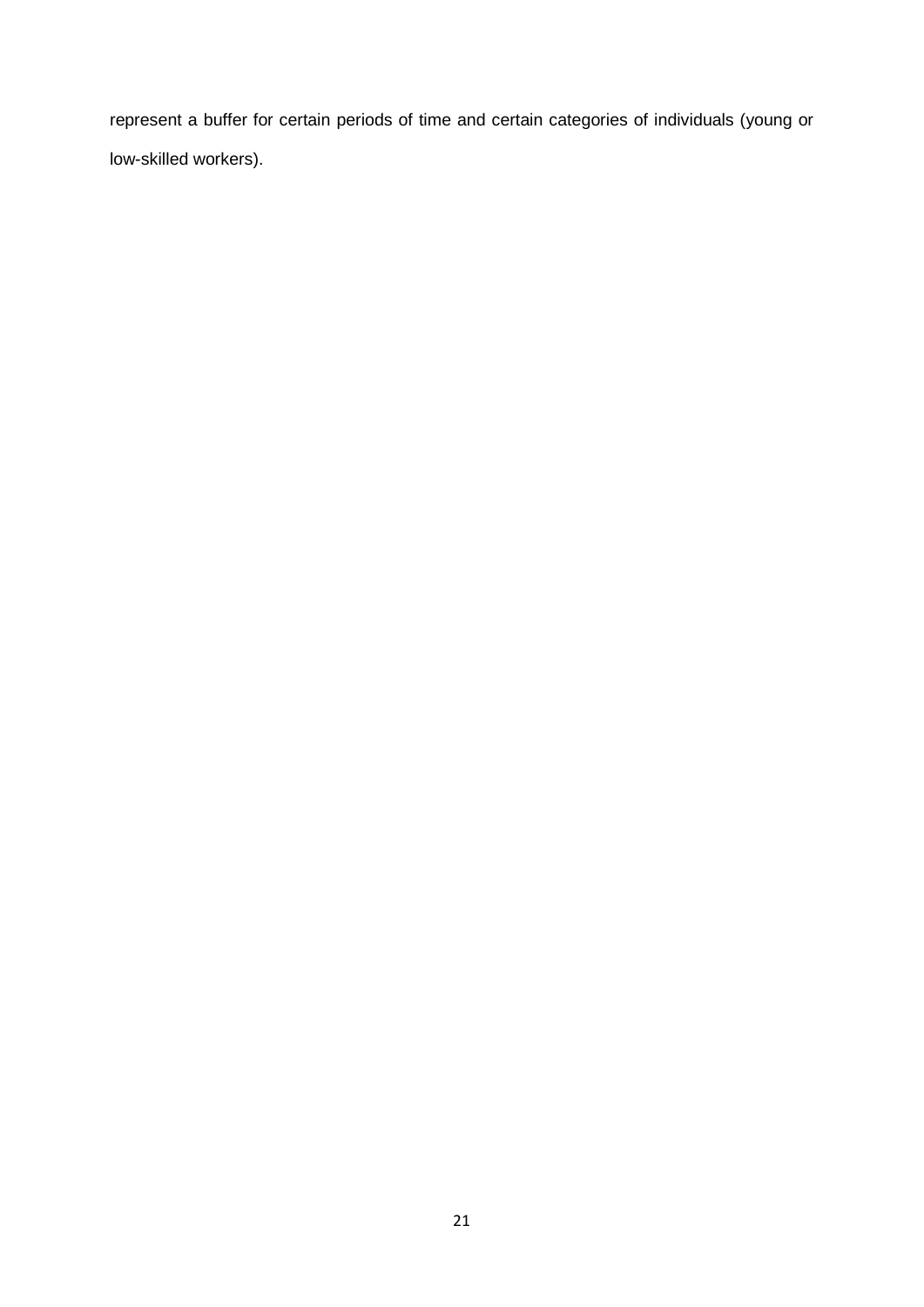represent a buffer for certain periods of time and certain categories of individuals (young or low-skilled workers).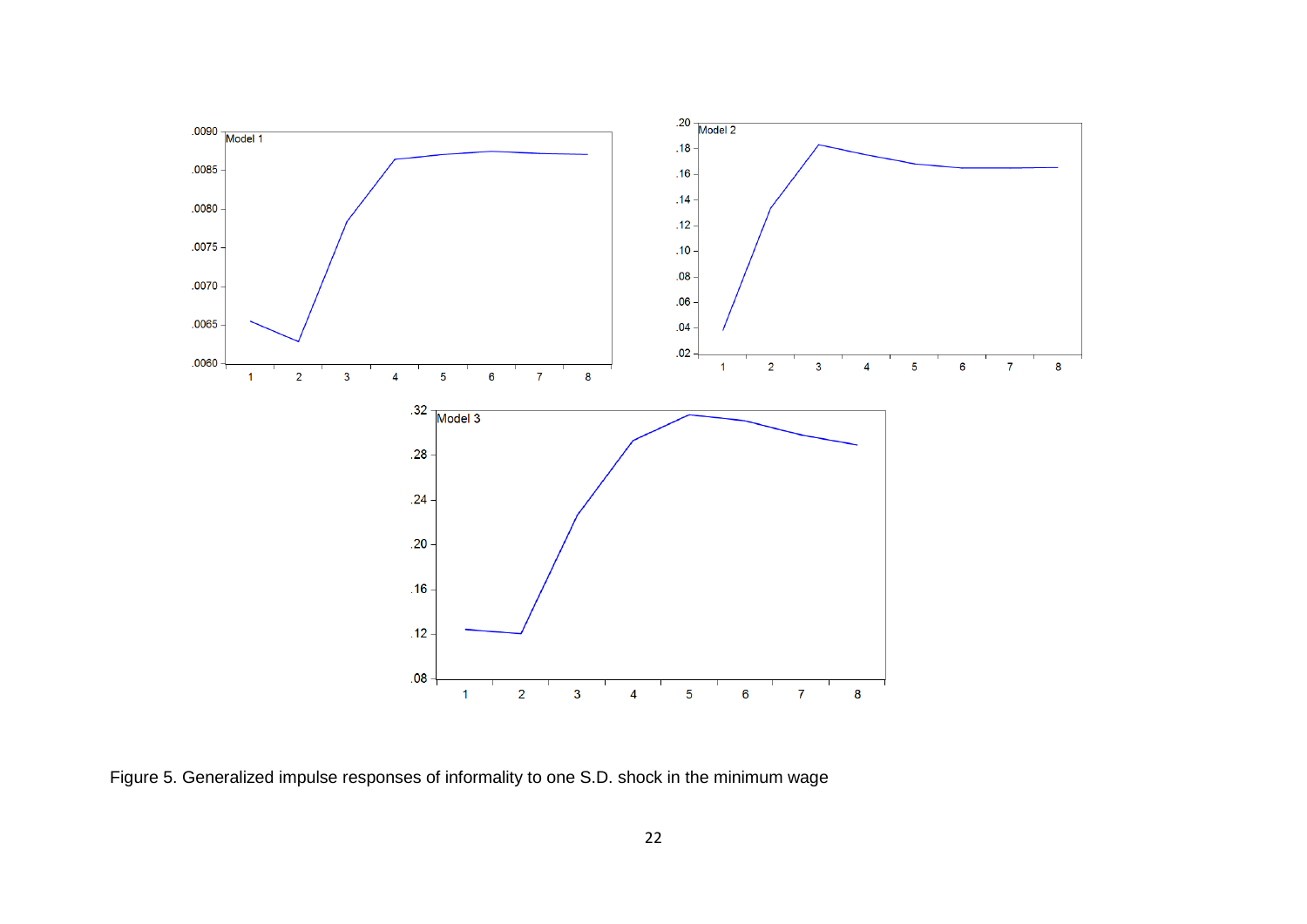

Figure 5. Generalized impulse responses of informality to one S.D. shock in the minimum wage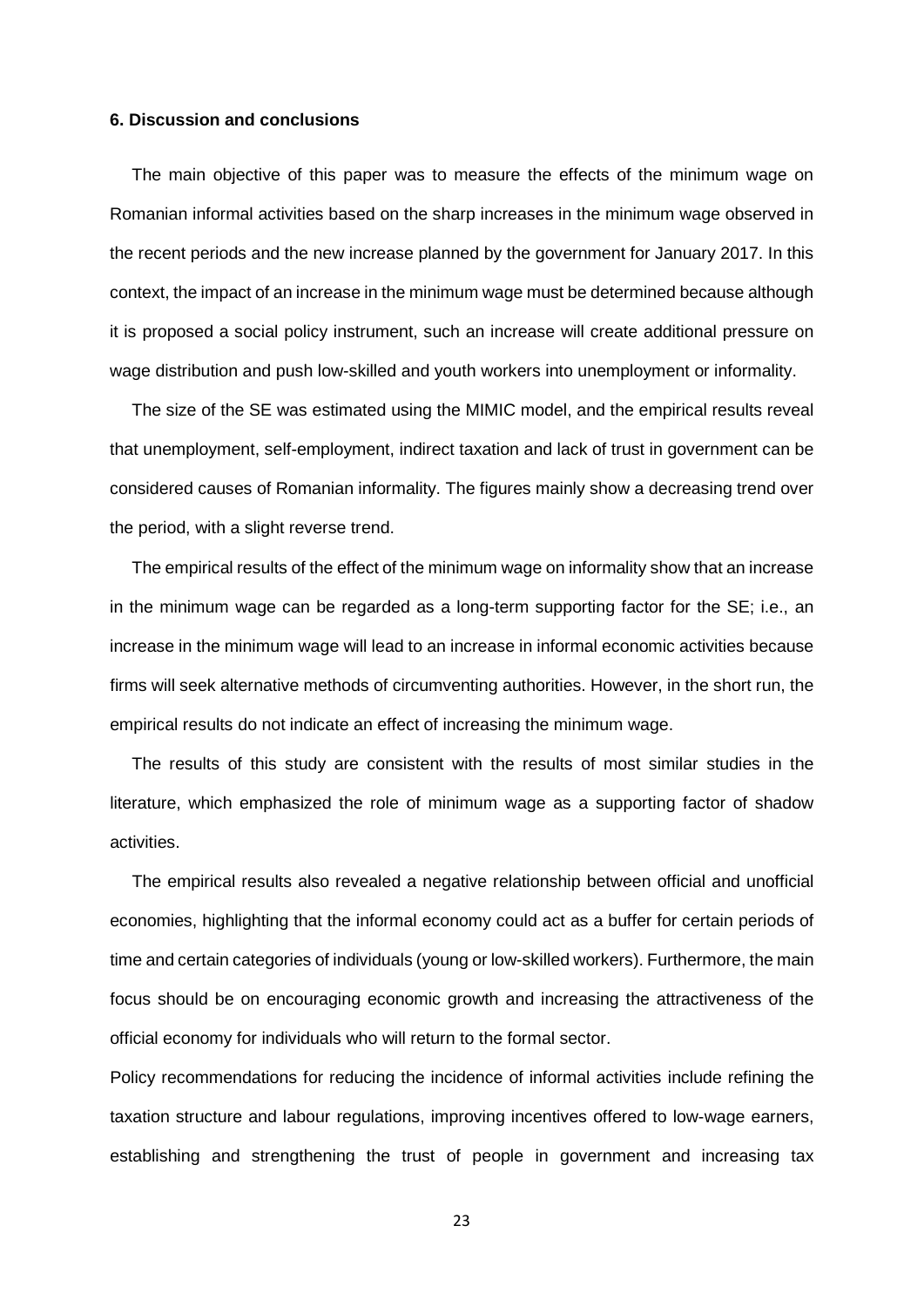## **6. Discussion and conclusions**

The main objective of this paper was to measure the effects of the minimum wage on Romanian informal activities based on the sharp increases in the minimum wage observed in the recent periods and the new increase planned by the government for January 2017. In this context, the impact of an increase in the minimum wage must be determined because although it is proposed a social policy instrument, such an increase will create additional pressure on wage distribution and push low-skilled and youth workers into unemployment or informality.

The size of the SE was estimated using the MIMIC model, and the empirical results reveal that unemployment, self-employment, indirect taxation and lack of trust in government can be considered causes of Romanian informality. The figures mainly show a decreasing trend over the period, with a slight reverse trend.

The empirical results of the effect of the minimum wage on informality show that an increase in the minimum wage can be regarded as a long-term supporting factor for the SE; i.e., an increase in the minimum wage will lead to an increase in informal economic activities because firms will seek alternative methods of circumventing authorities. However, in the short run, the empirical results do not indicate an effect of increasing the minimum wage.

The results of this study are consistent with the results of most similar studies in the literature, which emphasized the role of minimum wage as a supporting factor of shadow activities.

The empirical results also revealed a negative relationship between official and unofficial economies, highlighting that the informal economy could act as a buffer for certain periods of time and certain categories of individuals (young or low-skilled workers). Furthermore, the main focus should be on encouraging economic growth and increasing the attractiveness of the official economy for individuals who will return to the formal sector.

Policy recommendations for reducing the incidence of informal activities include refining the taxation structure and labour regulations, improving incentives offered to low-wage earners, establishing and strengthening the trust of people in government and increasing tax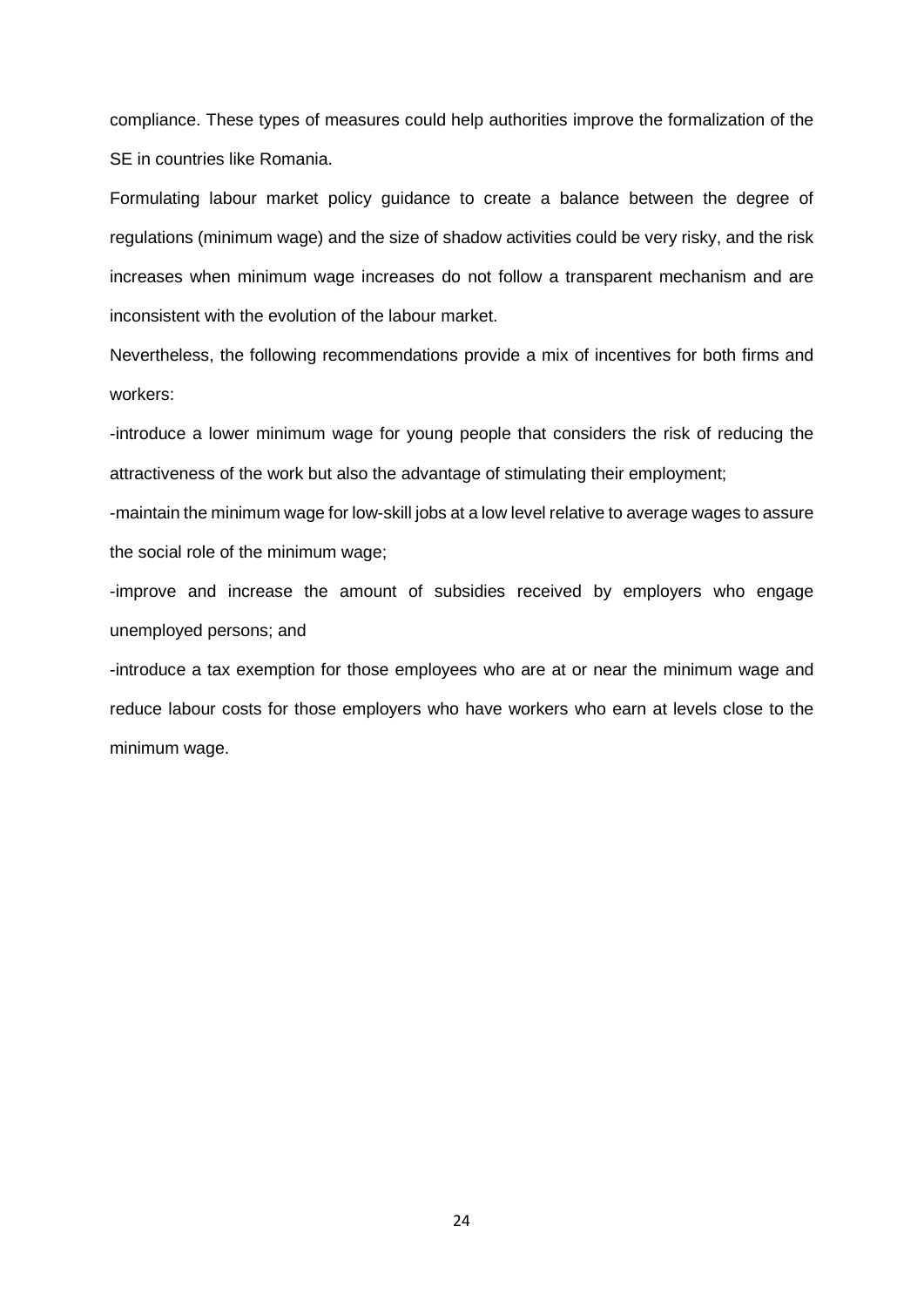compliance. These types of measures could help authorities improve the formalization of the SE in countries like Romania.

Formulating labour market policy guidance to create a balance between the degree of regulations (minimum wage) and the size of shadow activities could be very risky, and the risk increases when minimum wage increases do not follow a transparent mechanism and are inconsistent with the evolution of the labour market.

Nevertheless, the following recommendations provide a mix of incentives for both firms and workers:

-introduce a lower minimum wage for young people that considers the risk of reducing the attractiveness of the work but also the advantage of stimulating their employment;

-maintain the minimum wage for low-skill jobs at a low level relative to average wages to assure the social role of the minimum wage;

-improve and increase the amount of subsidies received by employers who engage unemployed persons; and

-introduce a tax exemption for those employees who are at or near the minimum wage and reduce labour costs for those employers who have workers who earn at levels close to the minimum wage.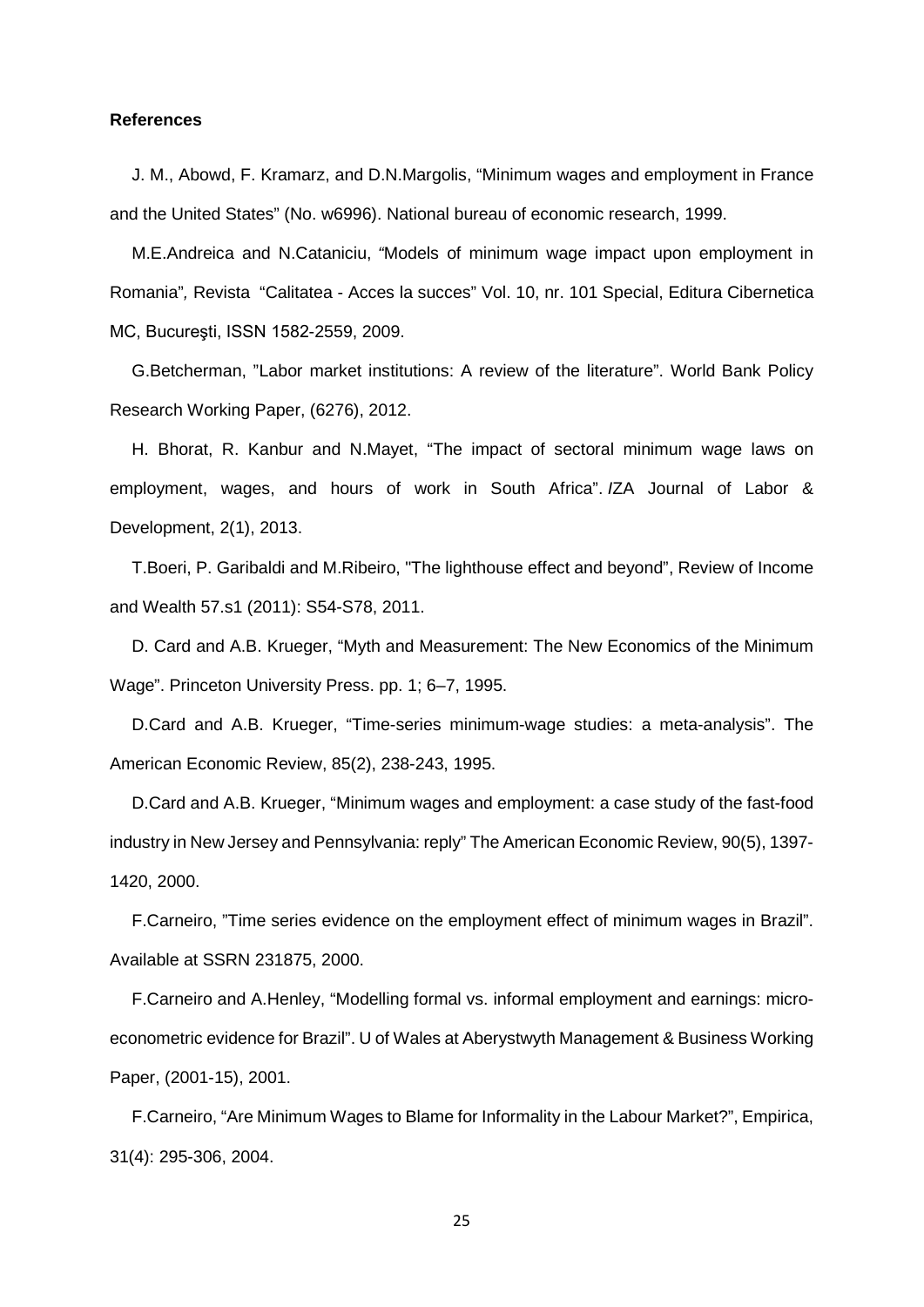### **References**

J. M., Abowd, F. Kramarz, and D.N.Margolis, "Minimum wages and employment in France and the United States" (No. w6996). National bureau of economic research, 1999.

M.E.Andreica and N.Cataniciu, *"*Models of minimum wage impact upon employment in Romania"*,* Revista "Calitatea - Acces la succes" Vol. 10, nr. 101 Special, Editura Cibernetica MC, Bucureşti, ISSN 1582-2559, 2009.

G.Betcherman, "Labor market institutions: A review of the literature". World Bank Policy Research Working Paper, (6276), 2012.

H. Bhorat, R. Kanbur and N.Mayet, "The impact of sectoral minimum wage laws on employment, wages, and hours of work in South Africa". *I*ZA Journal of Labor & Development, 2(1), 2013.

T.Boeri, P. Garibaldi and M.Ribeiro, "The lighthouse effect and beyond", Review of Income and Wealth 57.s1 (2011): S54-S78, 2011.

D. Card and A.B. Krueger, "Myth and Measurement: The New Economics of the Minimum Wage". Princeton University Press. pp. 1; 6–7, 1995.

D.Card and A.B. Krueger, "Time-series minimum-wage studies: a meta-analysis". The American Economic Review, 85(2), 238-243, 1995.

D.Card and A.B. Krueger, "Minimum wages and employment: a case study of the fast-food industry in New Jersey and Pennsylvania: reply" The American Economic Review, 90(5), 1397- 1420, 2000.

F.Carneiro, "Time series evidence on the employment effect of minimum wages in Brazil". Available at SSRN 231875, 2000.

F.Carneiro and A.Henley, "Modelling formal vs. informal employment and earnings: microeconometric evidence for Brazil". U of Wales at Aberystwyth Management & Business Working Paper, (2001-15), 2001.

F.Carneiro, "Are Minimum Wages to Blame for Informality in the Labour Market?", Empirica, 31(4): 295-306, 2004.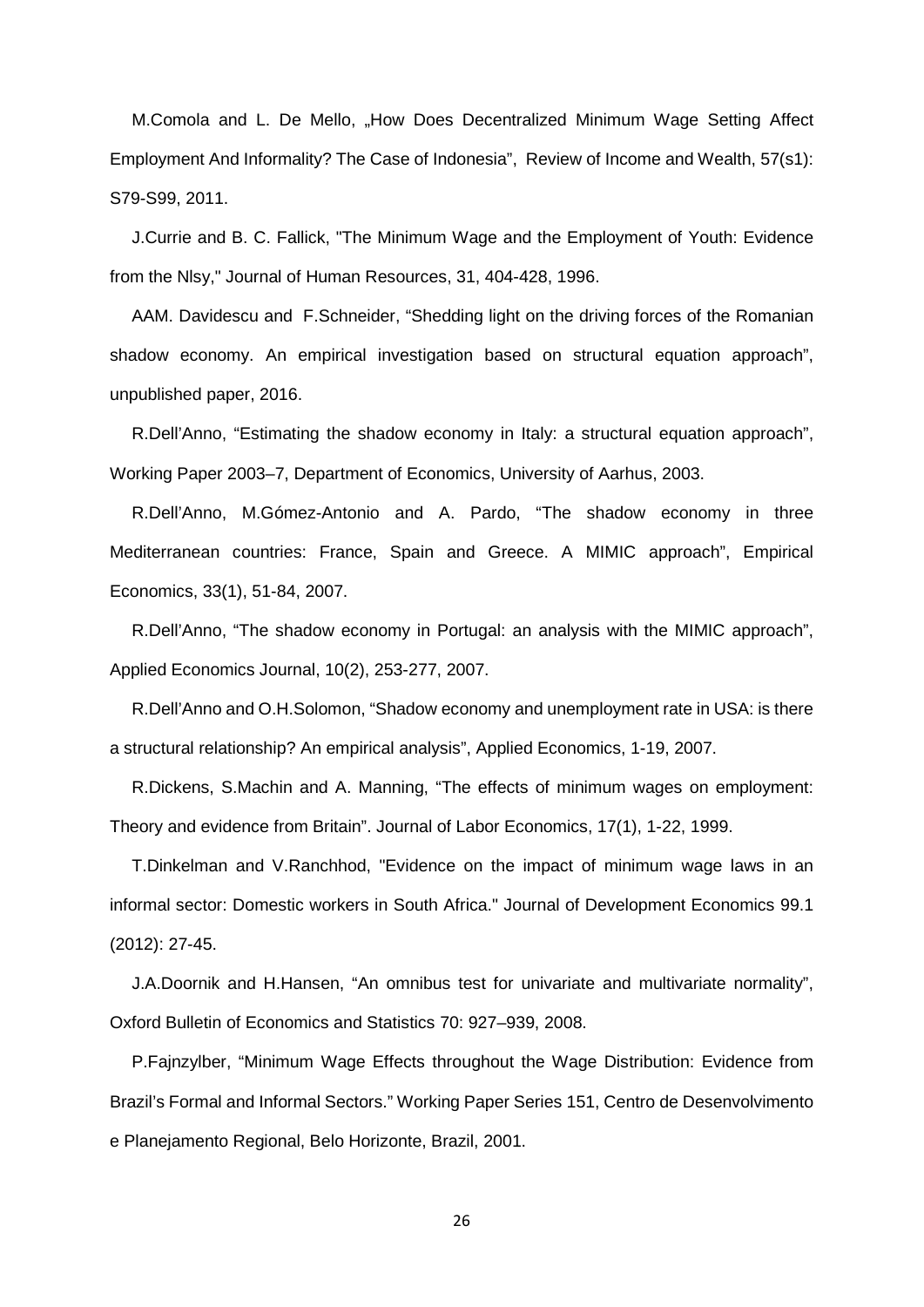M.Comola and L. De Mello, "How Does Decentralized Minimum Wage Setting Affect Employment And Informality? The Case of Indonesia", Review of Income and Wealth, 57(s1): S79-S99, 2011.

J.Currie and B. C. Fallick, "The Minimum Wage and the Employment of Youth: Evidence from the Nlsy," Journal of Human Resources, 31, 404-428, 1996.

AAM. Davidescu and F.Schneider, "Shedding light on the driving forces of the Romanian shadow economy. An empirical investigation based on structural equation approach", unpublished paper, 2016.

R.Dell'Anno, "Estimating the shadow economy in Italy: a structural equation approach", Working Paper 2003–7, Department of Economics, University of Aarhus, 2003.

R.Dell'Anno, M.Gómez-Antonio and A. Pardo, "The shadow economy in three Mediterranean countries: France, Spain and Greece. A MIMIC approach", Empirical Economics, 33(1), 51-84, 2007.

R.Dell'Anno, "The shadow economy in Portugal: an analysis with the MIMIC approach", Applied Economics Journal, 10(2), 253-277, 2007.

R.Dell'Anno and O.H.Solomon, "Shadow economy and unemployment rate in USA: is there a structural relationship? An empirical analysis", Applied Economics, 1-19, 2007.

R.Dickens, S.Machin and A. Manning, "The effects of minimum wages on employment: Theory and evidence from Britain". Journal of Labor Economics, 17(1), 1-22, 1999.

T.Dinkelman and V.Ranchhod, "Evidence on the impact of minimum wage laws in an informal sector: Domestic workers in South Africa." Journal of Development Economics 99.1 (2012): 27-45.

J.A.Doornik and H.Hansen, "An omnibus test for univariate and multivariate normality", Oxford Bulletin of Economics and Statistics 70: 927–939, 2008.

P.Fajnzylber, "Minimum Wage Effects throughout the Wage Distribution: Evidence from Brazil's Formal and Informal Sectors." Working Paper Series 151, Centro de Desenvolvimento e Planejamento Regional, Belo Horizonte, Brazil, 2001.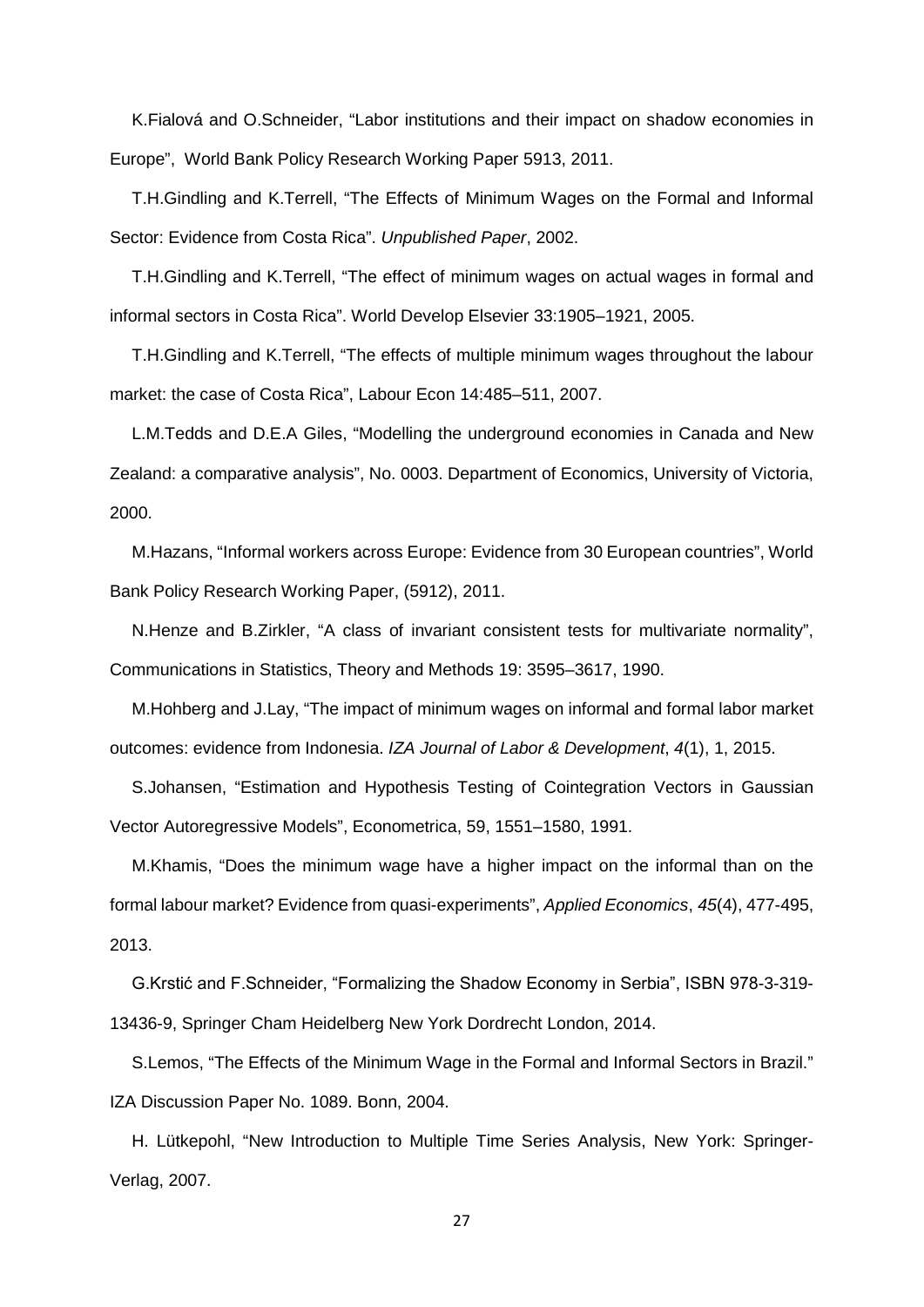K.Fialová and O.Schneider, "Labor institutions and their impact on shadow economies in Europe", World Bank Policy Research Working Paper 5913, 2011.

T.H.Gindling and K.Terrell, "The Effects of Minimum Wages on the Formal and Informal Sector: Evidence from Costa Rica". *Unpublished Paper*, 2002.

T.H.Gindling and K.Terrell, "The effect of minimum wages on actual wages in formal and informal sectors in Costa Rica". World Develop Elsevier 33:1905–1921, 2005.

T.H.Gindling and K.Terrell, "The effects of multiple minimum wages throughout the labour market: the case of Costa Rica", Labour Econ 14:485–511, 2007.

L.M.Tedds and D.E.A Giles, "Modelling the underground economies in Canada and New Zealand: a comparative analysis", No. 0003. Department of Economics, University of Victoria, 2000.

M.Hazans, "Informal workers across Europe: Evidence from 30 European countries", World Bank Policy Research Working Paper, (5912), 2011.

N.Henze and B.Zirkler, "A class of invariant consistent tests for multivariate normality", Communications in Statistics, Theory and Methods 19: 3595–3617, 1990.

M.Hohberg and J.Lay, "The impact of minimum wages on informal and formal labor market outcomes: evidence from Indonesia. *IZA Journal of Labor & Development*, *4*(1), 1, 2015.

S.Johansen, "Estimation and Hypothesis Testing of Cointegration Vectors in Gaussian Vector Autoregressive Models", Econometrica, 59, 1551–1580, 1991.

M.Khamis, "Does the minimum wage have a higher impact on the informal than on the formal labour market? Evidence from quasi-experiments", *Applied Economics*, *45*(4), 477-495, 2013.

G.Krstić and F.Schneider, "Formalizing the Shadow Economy in Serbia", ISBN 978-3-319- 13436-9, Springer Cham Heidelberg New York Dordrecht London, 2014.

S.Lemos, "The Effects of the Minimum Wage in the Formal and Informal Sectors in Brazil." IZA Discussion Paper No. 1089. Bonn, 2004.

H. Lütkepohl, "New Introduction to Multiple Time Series Analysis, New York: Springer-Verlag, 2007.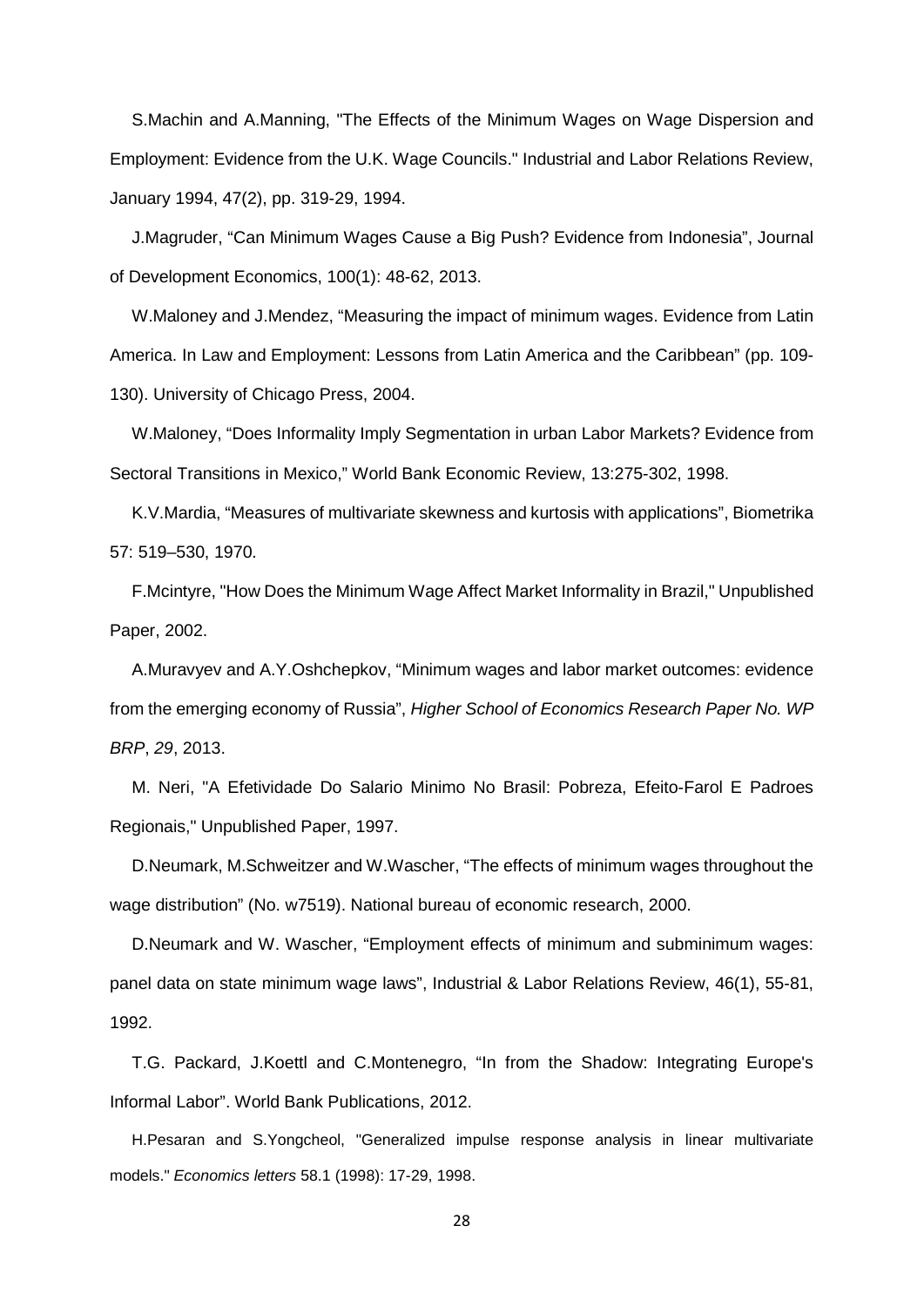S.Machin and A.Manning, "The Effects of the Minimum Wages on Wage Dispersion and Employment: Evidence from the U.K. Wage Councils." Industrial and Labor Relations Review, January 1994, 47(2), pp. 319-29, 1994.

J.Magruder, "Can Minimum Wages Cause a Big Push? Evidence from Indonesia", Journal of Development Economics, 100(1): 48-62, 2013.

W.Maloney and J.Mendez, "Measuring the impact of minimum wages. Evidence from Latin America. In Law and Employment: Lessons from Latin America and the Caribbean" (pp. 109- 130). University of Chicago Press, 2004.

W.Maloney, "Does Informality Imply Segmentation in urban Labor Markets? Evidence from Sectoral Transitions in Mexico," World Bank Economic Review, 13:275-302, 1998.

K.V.Mardia, "Measures of multivariate skewness and kurtosis with applications", Biometrika 57: 519–530, 1970.

F.Mcintyre, "How Does the Minimum Wage Affect Market Informality in Brazil," Unpublished Paper, 2002.

A.Muravyev and A.Y.Oshchepkov, "Minimum wages and labor market outcomes: evidence from the emerging economy of Russia", *Higher School of Economics Research Paper No. WP BRP*, *29*, 2013.

M. Neri, "A Efetividade Do Salario Minimo No Brasil: Pobreza, Efeito-Farol E Padroes Regionais," Unpublished Paper, 1997.

D.Neumark, M.Schweitzer and W.Wascher, "The effects of minimum wages throughout the wage distribution" (No. w7519). National bureau of economic research, 2000.

D.Neumark and W. Wascher, "Employment effects of minimum and subminimum wages: panel data on state minimum wage laws", Industrial & Labor Relations Review, 46(1), 55-81, 1992.

T.G. Packard, J.Koettl and C.Montenegro, "In from the Shadow: Integrating Europe's Informal Labor". World Bank Publications, 2012.

H.Pesaran and S.Yongcheol, "Generalized impulse response analysis in linear multivariate models." *Economics letters* 58.1 (1998): 17-29, 1998.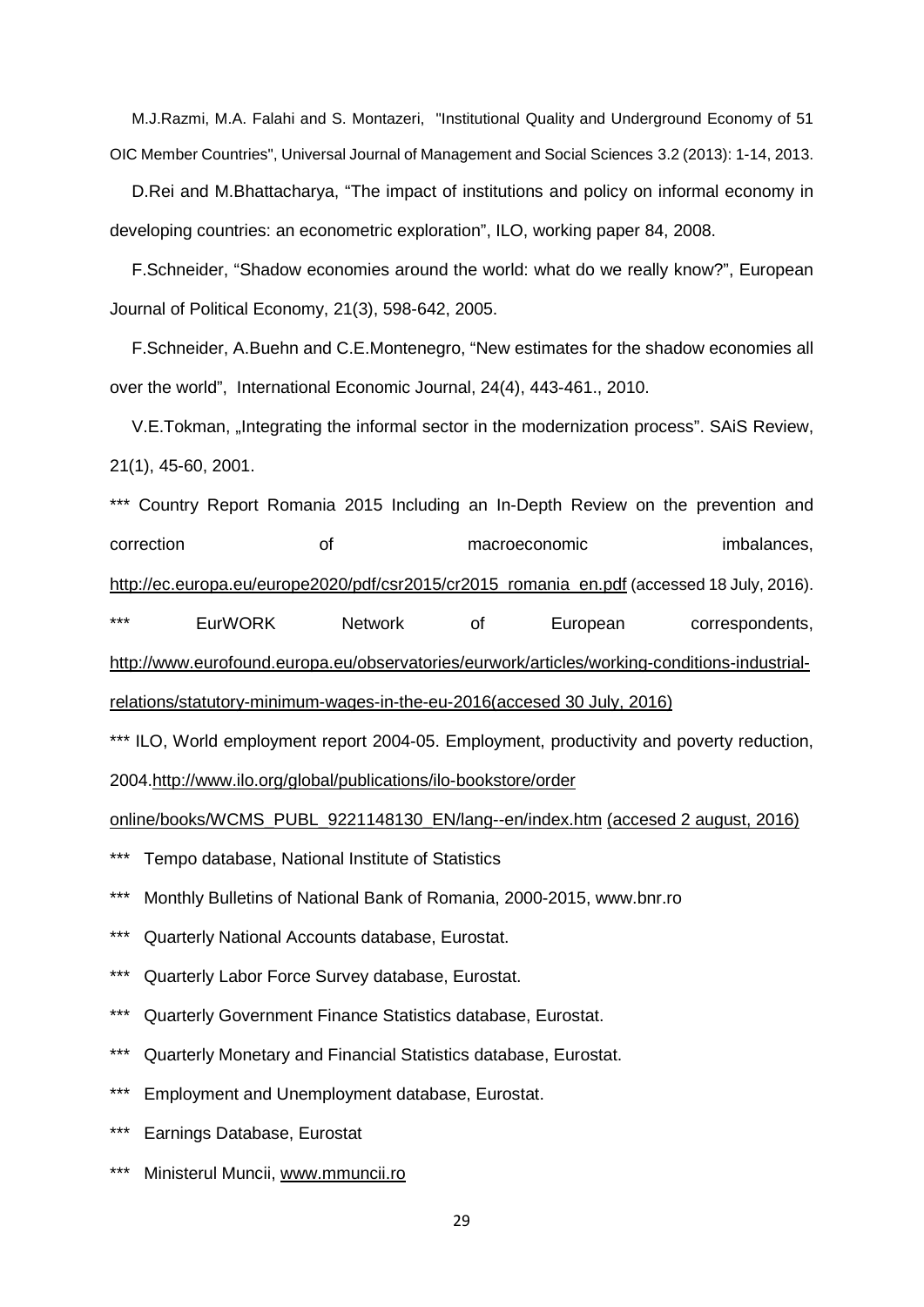M.J.Razmi, M.A. Falahi and S. Montazeri, "Institutional Quality and Underground Economy of 51 OIC Member Countries", Universal Journal of Management and Social Sciences 3.2 (2013): 1-14, 2013.

D.Rei and M.Bhattacharya, "The impact of institutions and policy on informal economy in developing countries: an econometric exploration", ILO, working paper 84, 2008.

F.Schneider, "Shadow economies around the world: what do we really know?", European Journal of Political Economy, 21(3), 598-642, 2005.

F.Schneider, A.Buehn and C.E.Montenegro, "New estimates for the shadow economies all over the world", International Economic Journal, 24(4), 443-461., 2010.

V.E.Tokman, "Integrating the informal sector in the modernization process". SAIS Review, 21(1), 45-60, 2001.

\*\*\* Country Report Romania 2015 Including an In-Depth Review on the prevention and correction of macroeconomic imbalances, [http://ec.europa.eu/europe2020/pdf/csr2015/cr2015\\_romania\\_en.pdf](http://ec.europa.eu/europe2020/pdf/csr2015/cr2015_romania_en.pdf) (accessed 18 July, 2016). \*\*\* **EurWORK** Network of European correspondents, [http://www.eurofound.europa.eu/observatories/eurwork/articles/working-conditions-industrial](http://www.eurofound.europa.eu/observatories/eurwork/articles/working-conditions-industrial-relations/statutory-minimum-wages-in-the-eu-2016(accesed)[relations/statutory-minimum-wages-in-the-eu-2016\(accesed](http://www.eurofound.europa.eu/observatories/eurwork/articles/working-conditions-industrial-relations/statutory-minimum-wages-in-the-eu-2016(accesed) 30 July, 2016)

\*\*\* ILO, World employment report 2004-05. Employment, productivity and poverty reduction, 2004[.http://www.ilo.org/global/publications/ilo-bookstore/order](http://www.ilo.org/global/publications/ilo-bookstore/orderonline/books/WCMS_PUBL_9221148130_EN/lang--en/index.htm)

[online/books/WCMS\\_PUBL\\_9221148130\\_EN/lang--en/index.htm](http://www.ilo.org/global/publications/ilo-bookstore/orderonline/books/WCMS_PUBL_9221148130_EN/lang--en/index.htm) (accesed 2 august, 2016)

- \*\*\* Tempo database, National Institute of Statistics
- \*\*\* Monthly Bulletins of National Bank of Romania, 2000-2015, www.bnr.ro
- \*\*\* Quarterly National Accounts database, Eurostat.
- \*\*\* Quarterly Labor Force Survey database, Eurostat.
- \*\*\* Quarterly Government Finance Statistics database, Eurostat.
- \*\*\* Quarterly Monetary and Financial Statistics database, Eurostat.
- \*\*\* Employment and Unemployment database, Eurostat.
- \*\*\* Earnings Database, Eurostat
- \*\*\* Ministerul Muncii, [www.mmuncii.ro](http://www.mmuncii.ro/)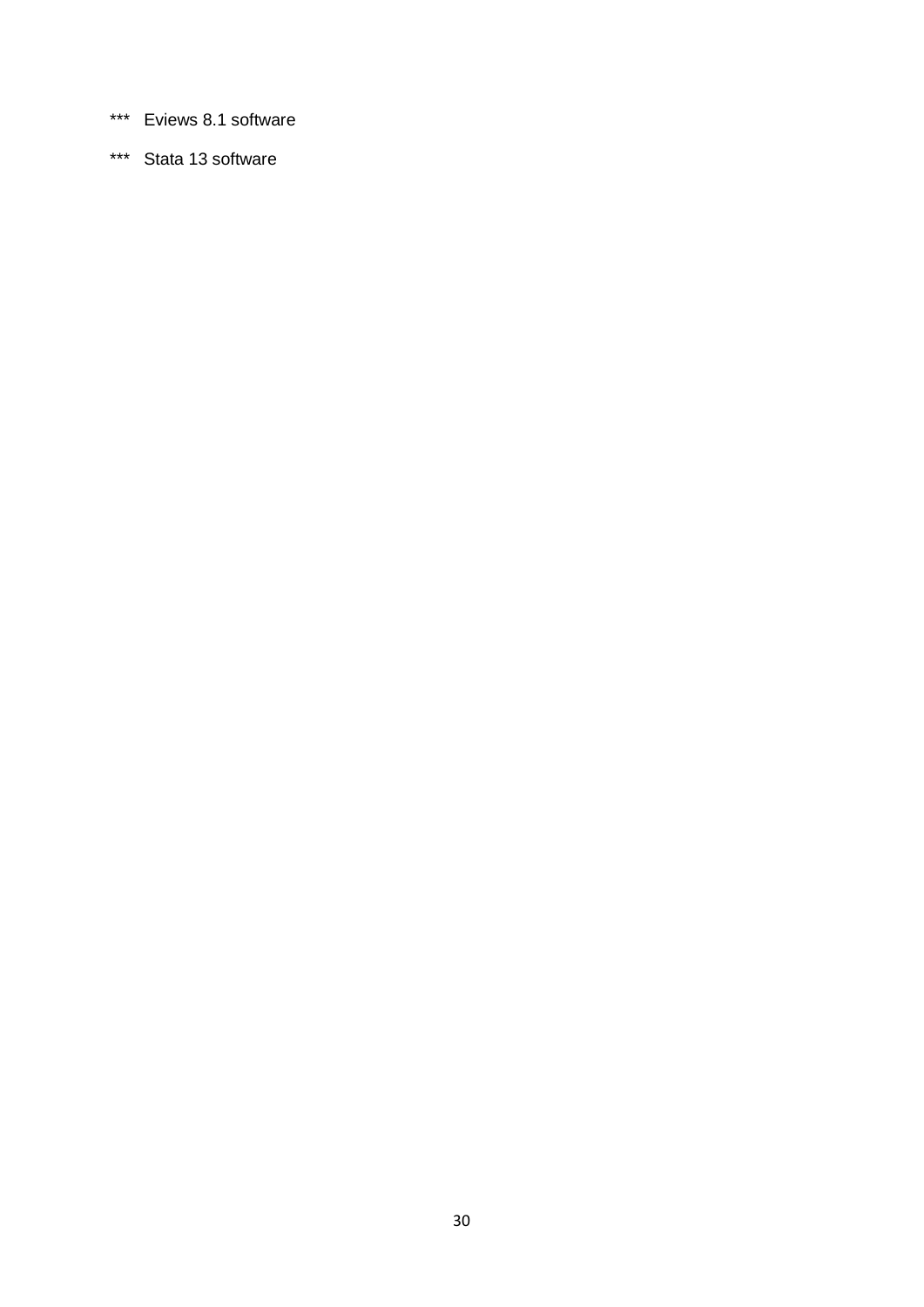- \*\*\* Eviews 8.1 software
- \*\*\* Stata 13 software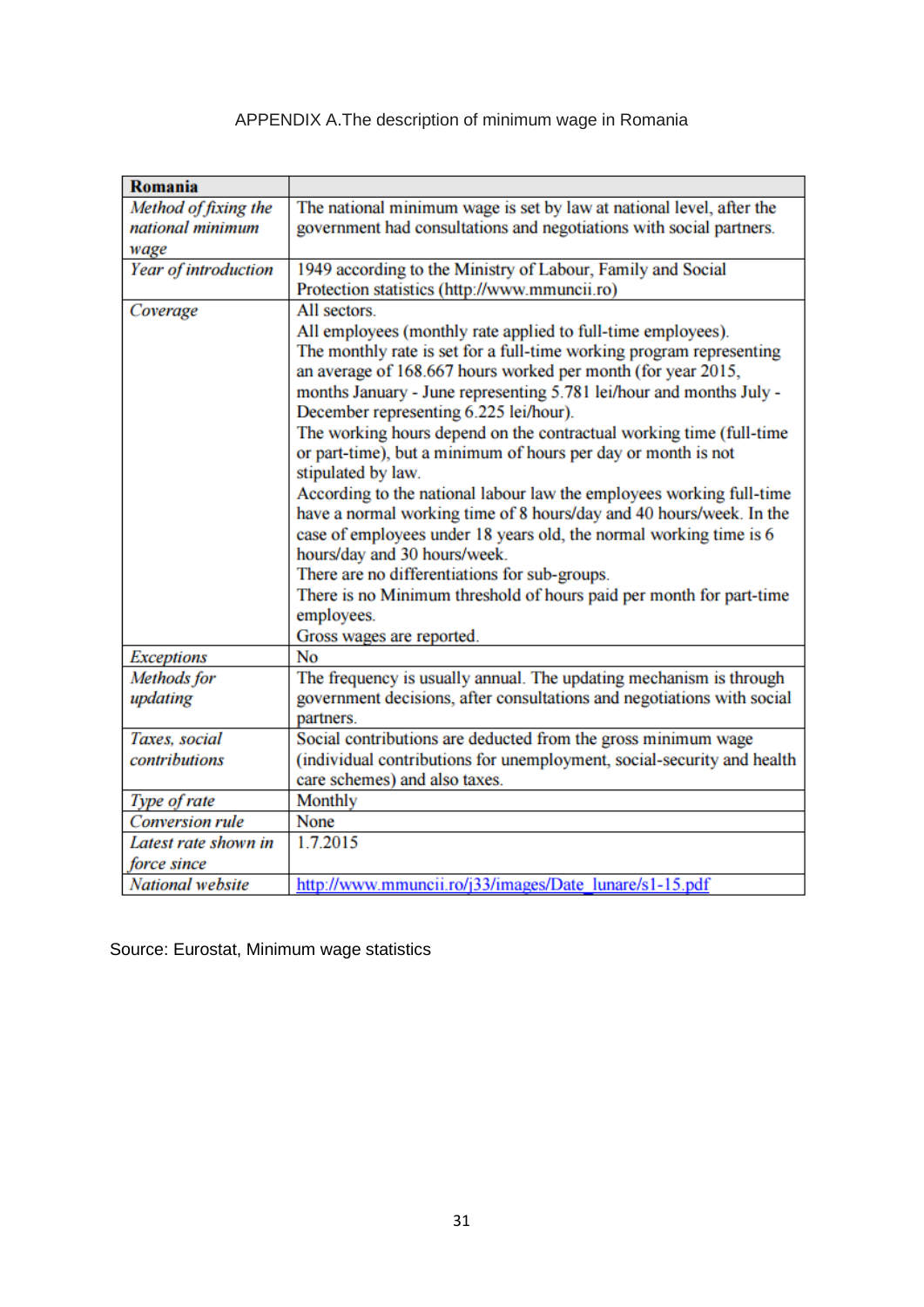# APPENDIX A.The description of minimum wage in Romania

| Romania                 |                                                                        |
|-------------------------|------------------------------------------------------------------------|
| Method of fixing the    | The national minimum wage is set by law at national level, after the   |
| national minimum        | government had consultations and negotiations with social partners.    |
| wage                    |                                                                        |
| Year of introduction    | 1949 according to the Ministry of Labour, Family and Social            |
|                         | Protection statistics (http://www.mmuncii.ro)                          |
| Coverage                | All sectors.                                                           |
|                         | All employees (monthly rate applied to full-time employees).           |
|                         | The monthly rate is set for a full-time working program representing   |
|                         | an average of 168.667 hours worked per month (for year 2015,           |
|                         | months January - June representing 5.781 lei/hour and months July -    |
|                         | December representing 6.225 lei/hour).                                 |
|                         | The working hours depend on the contractual working time (full-time    |
|                         | or part-time), but a minimum of hours per day or month is not          |
|                         | stipulated by law.                                                     |
|                         | According to the national labour law the employees working full-time   |
|                         | have a normal working time of 8 hours/day and 40 hours/week. In the    |
|                         | case of employees under 18 years old, the normal working time is 6     |
|                         | hours/day and 30 hours/week.                                           |
|                         | There are no differentiations for sub-groups.                          |
|                         | There is no Minimum threshold of hours paid per month for part-time    |
|                         | employees.                                                             |
|                         | Gross wages are reported.                                              |
| <b>Exceptions</b>       | No                                                                     |
| Methods for             | The frequency is usually annual. The updating mechanism is through     |
| updating                | government decisions, after consultations and negotiations with social |
|                         | partners.                                                              |
| Taxes, social           | Social contributions are deducted from the gross minimum wage          |
| contributions           | (individual contributions for unemployment, social-security and health |
|                         | care schemes) and also taxes.                                          |
| Type of rate            | Monthly                                                                |
| <b>Conversion</b> rule  | None                                                                   |
| Latest rate shown in    | 1.7.2015                                                               |
| force since             |                                                                        |
| <b>National</b> website | http://www.mmuncii.ro/j33/images/Date lunare/s1-15.pdf                 |

Source: Eurostat, Minimum wage statistics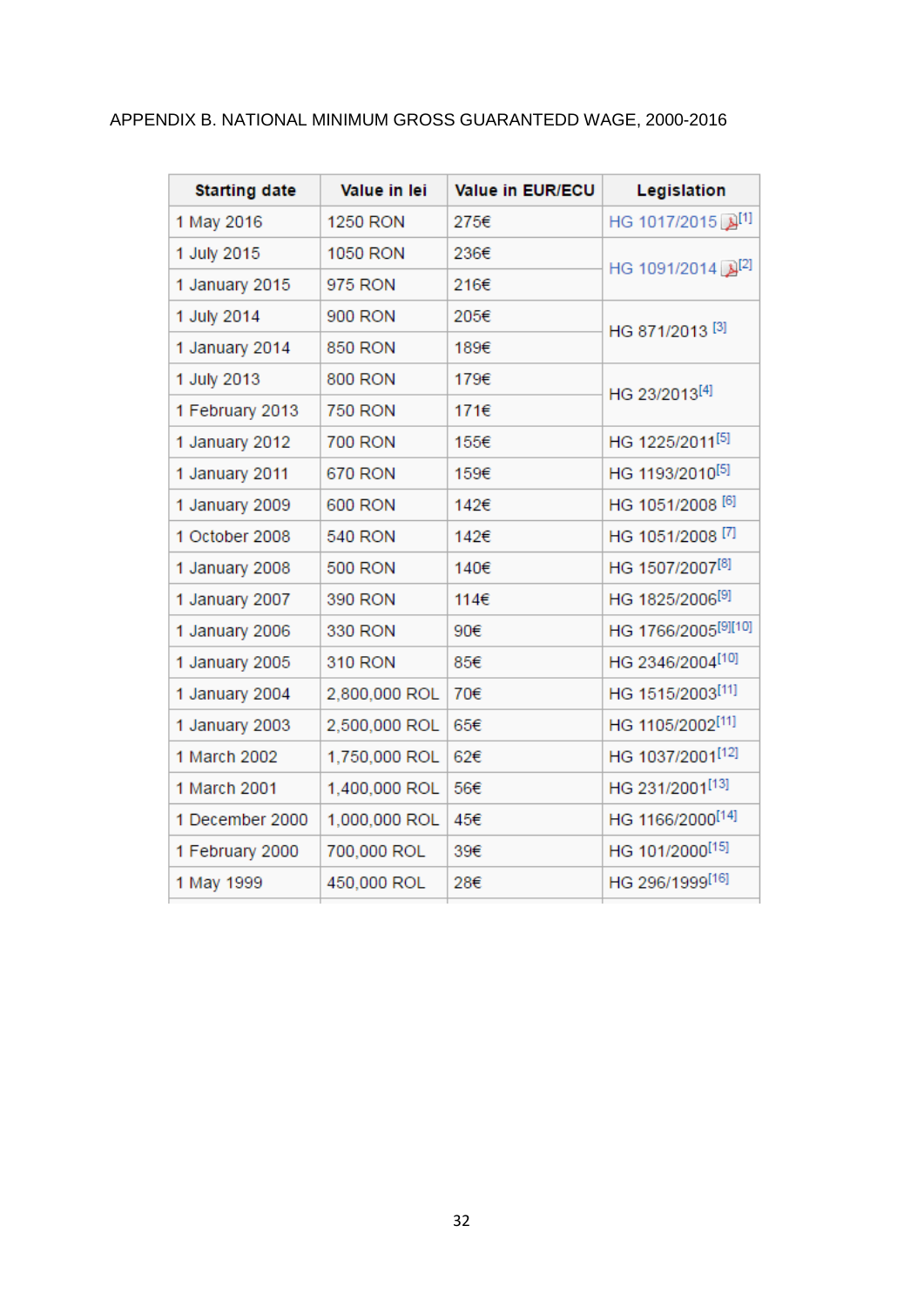# APPENDIX B. NATIONAL MINIMUM GROSS GUARANTEDD WAGE, 2000-2016

| <b>Starting date</b> | Value in lei    | <b>Value in EUR/ECU</b> | Legislation                   |  |
|----------------------|-----------------|-------------------------|-------------------------------|--|
| 1 May 2016           | <b>1250 RON</b> | 275€                    | HG 1017/2015 1 <sup>[1]</sup> |  |
| 1 July 2015          | <b>1050 RON</b> | 236€                    | HG 1091/2014 12               |  |
| 1 January 2015       | 975 RON         | 216€                    |                               |  |
| 1 July 2014          | 900 RON         | 205€                    | HG 871/2013 <sup>[3]</sup>    |  |
| 1 January 2014       | <b>850 RON</b>  | 189€                    |                               |  |
| 1 July 2013          | <b>800 RON</b>  | 179€                    | HG 23/2013[4]                 |  |
| 1 February 2013      | <b>750 RON</b>  | 171€                    |                               |  |
| 1 January 2012       | <b>700 RON</b>  | 155€                    | HG 1225/2011 <sup>[5]</sup>   |  |
| 1 January 2011       | <b>670 RON</b>  | 159€                    | HG 1193/2010 <sup>[5]</sup>   |  |
| 1 January 2009       | 600 RON         | 142€                    | HG 1051/2008 <sup>[6]</sup>   |  |
| 1 October 2008       | <b>540 RON</b>  | 142€                    | HG 1051/2008 <sup>[7]</sup>   |  |
| 1 January 2008       | <b>500 RON</b>  | 140€                    | HG 1507/2007 <sup>[8]</sup>   |  |
| 1 January 2007       | 390 RON         | 114€                    | HG 1825/2006 <sup>[9]</sup>   |  |
| 1 January 2006       | 330 RON         | 90€                     | HG 1766/2005[9][10]           |  |
| 1 January 2005       | 310 RON         | 85€                     | HG 2346/2004[10]              |  |
| 1 January 2004       | 2,800,000 ROL   | 70€                     | HG 1515/2003[11]              |  |
| 1 January 2003       | 2,500,000 ROL   | 65€                     | HG 1105/2002[11]              |  |
| 1 March 2002         | 1,750,000 ROL   | 62€                     | HG 1037/2001[12]              |  |
| 1 March 2001         | 1,400,000 ROL   | 56€                     | HG 231/2001[13]               |  |
| 1 December 2000      | 1,000,000 ROL   | 45€                     | HG 1166/2000 <sup>[14]</sup>  |  |
| 1 February 2000      | 700,000 ROL     | 39€                     | HG 101/2000[15]               |  |
| 1 May 1999           | 450,000 ROL     | 28€                     | HG 296/1999[16]               |  |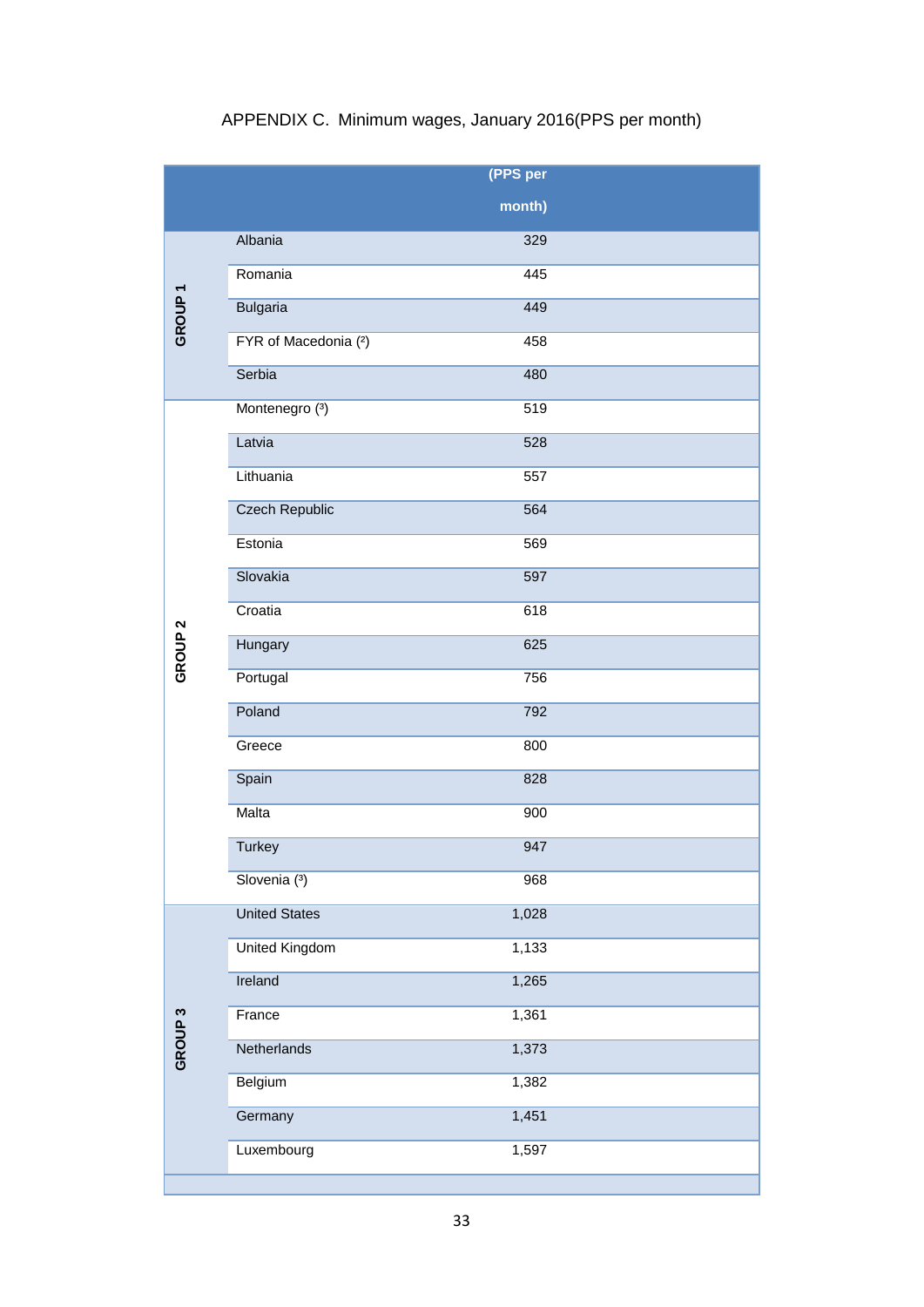|                    |                       | (PPS per |  |
|--------------------|-----------------------|----------|--|
|                    |                       | month)   |  |
|                    | Albania               | 329      |  |
| GROUP <sub>1</sub> | Romania               | 445      |  |
|                    | <b>Bulgaria</b>       | 449      |  |
|                    | FYR of Macedonia (2)  | 458      |  |
|                    | Serbia                | 480      |  |
|                    | Montenegro (3)        | 519      |  |
|                    | Latvia                | 528      |  |
|                    | Lithuania             | 557      |  |
| GROUP <sub>2</sub> | Czech Republic        | 564      |  |
|                    | Estonia               | 569      |  |
|                    | Slovakia              | 597      |  |
|                    | Croatia               | 618      |  |
|                    | Hungary               | 625      |  |
|                    | Portugal              | 756      |  |
|                    | Poland                | 792      |  |
|                    | Greece                | 800      |  |
|                    | Spain                 | 828      |  |
|                    | <b>Malta</b>          | 900      |  |
|                    | <b>Turkey</b>         | 947      |  |
|                    | Slovenia (3)          | 968      |  |
| GROUP <sub>3</sub> | <b>United States</b>  | 1,028    |  |
|                    | <b>United Kingdom</b> | 1,133    |  |
|                    | Ireland               | 1,265    |  |
|                    | France                | 1,361    |  |
|                    | Netherlands           | 1,373    |  |
|                    | Belgium               | 1,382    |  |
|                    | Germany               | 1,451    |  |
|                    | Luxembourg            | 1,597    |  |
|                    |                       |          |  |

# APPENDIX C. Minimum wages, January 2016(PPS per month)